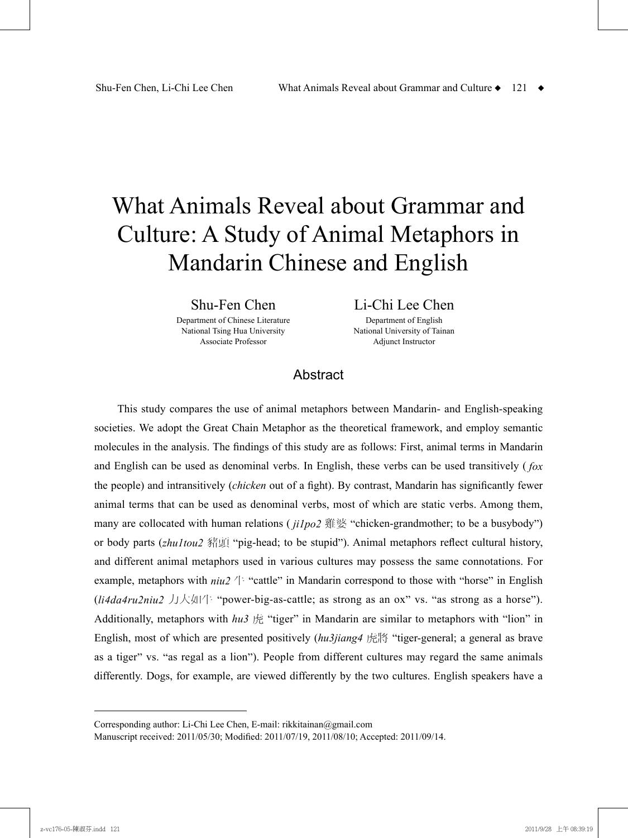# What Animals Reveal about Grammar and Culture: A Study of Animal Metaphors in Mandarin Chinese and English

Shu-Fen Chen

Department of Chinese Literature National Tsing Hua University Associate Professor

Li-Chi Lee Chen

Department of English National University of Tainan Adjunct Instructor

## **Abstract**

This study compares the use of animal metaphors between Mandarin- and English-speaking societies. We adopt the Great Chain Metaphor as the theoretical framework, and employ semantic molecules in the analysis. The findings of this study are as follows: First, animal terms in Mandarin and English can be used as denominal verbs. In English, these verbs can be used transitively ( *fox* the people) and intransitively (*chicken* out of a fight). By contrast, Mandarin has significantly fewer animal terms that can be used as denominal verbs, most of which are static verbs. Among them, many are collocated with human relations ( *ji1po2* 雞婆 "chicken-grandmother; to be a busybody") or body parts (*zhu1tou2* 豬頭 "pig-head; to be stupid"). Animal metaphors reflect cultural history, and different animal metaphors used in various cultures may possess the same connotations. For example, metaphors with  $niu2 \nleftrightarrow$  "cattle" in Mandarin correspond to those with "horse" in English (*li4da4ru2niu2* 力大如牛 "power-big-as-cattle; as strong as an ox" vs. "as strong as a horse"). Additionally, metaphors with *hu3* 虎 "tiger" in Mandarin are similar to metaphors with "lion" in English, most of which are presented positively (*hu3jiang4* 虎將 "tiger-general; a general as brave as a tiger" vs. "as regal as a lion"). People from different cultures may regard the same animals differently. Dogs, for example, are viewed differently by the two cultures. English speakers have a

Corresponding author: Li-Chi Lee Chen, E-mail: rikkitainan@gmail.com

Manuscript received: 2011/05/30; Modified: 2011/07/19, 2011/08/10; Accepted: 2011/09/14.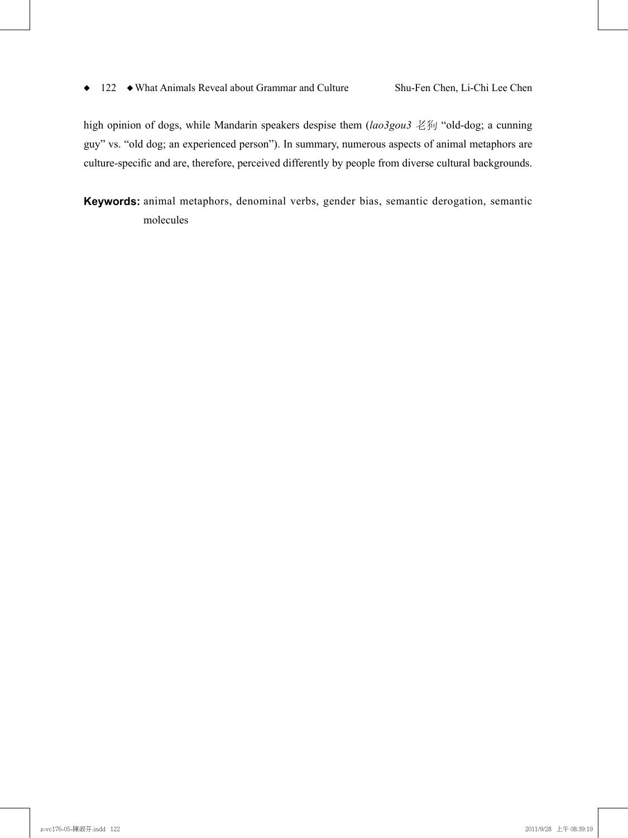high opinion of dogs, while Mandarin speakers despise them (*lao3gou3* 老狗 "old-dog; a cunning guy" vs. "old dog; an experienced person"). In summary, numerous aspects of animal metaphors are culture-specific and are, therefore, perceived differently by people from diverse cultural backgrounds.

**Keywords:** animal metaphors, denominal verbs, gender bias, semantic derogation, semantic molecules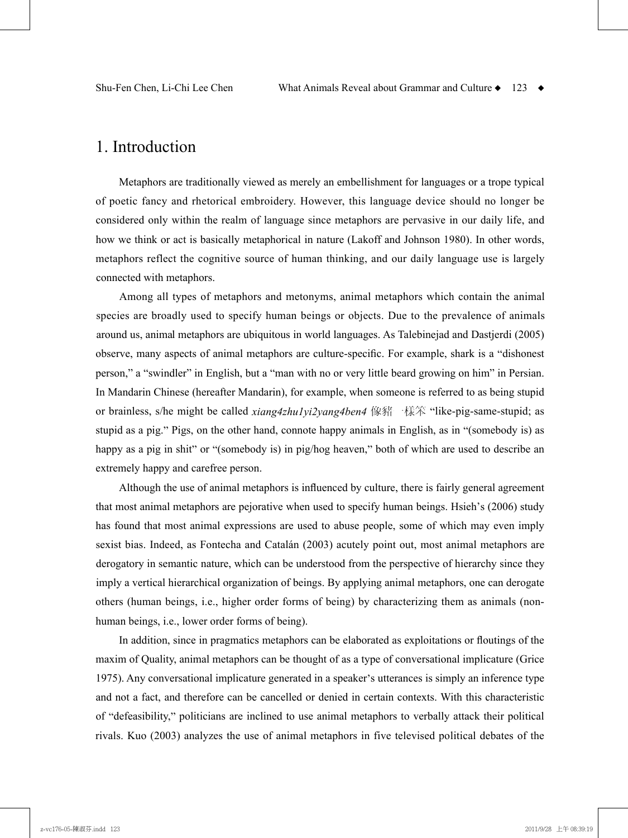# 1. Introduction

Metaphors are traditionally viewed as merely an embellishment for languages or a trope typical of poetic fancy and rhetorical embroidery. However, this language device should no longer be considered only within the realm of language since metaphors are pervasive in our daily life, and how we think or act is basically metaphorical in nature (Lakoff and Johnson 1980). In other words, metaphors reflect the cognitive source of human thinking, and our daily language use is largely connected with metaphors.

Among all types of metaphors and metonyms, animal metaphors which contain the animal species are broadly used to specify human beings or objects. Due to the prevalence of animals around us, animal metaphors are ubiquitous in world languages. As Talebinejad and Dastjerdi (2005) observe, many aspects of animal metaphors are culture-specific. For example, shark is a "dishonest person," a "swindler" in English, but a "man with no or very little beard growing on him" in Persian. In Mandarin Chinese (hereafter Mandarin), for example, when someone is referred to as being stupid or brainless, s/he might be called *xiang4zhu1yi2yang4ben4* 像豬一樣笨 "like-pig-same-stupid; as stupid as a pig." Pigs, on the other hand, connote happy animals in English, as in "(somebody is) as happy as a pig in shit" or "(somebody is) in pig/hog heaven," both of which are used to describe an extremely happy and carefree person.

Although the use of animal metaphors is influenced by culture, there is fairly general agreement that most animal metaphors are pejorative when used to specify human beings. Hsieh's (2006) study has found that most animal expressions are used to abuse people, some of which may even imply sexist bias. Indeed, as Fontecha and Catalán (2003) acutely point out, most animal metaphors are derogatory in semantic nature, which can be understood from the perspective of hierarchy since they imply a vertical hierarchical organization of beings. By applying animal metaphors, one can derogate others (human beings, i.e., higher order forms of being) by characterizing them as animals (nonhuman beings, i.e., lower order forms of being).

In addition, since in pragmatics metaphors can be elaborated as exploitations or floutings of the maxim of Quality, animal metaphors can be thought of as a type of conversational implicature (Grice 1975). Any conversational implicature generated in a speaker's utterances is simply an inference type and not a fact, and therefore can be cancelled or denied in certain contexts. With this characteristic of "defeasibility," politicians are inclined to use animal metaphors to verbally attack their political rivals. Kuo (2003) analyzes the use of animal metaphors in five televised political debates of the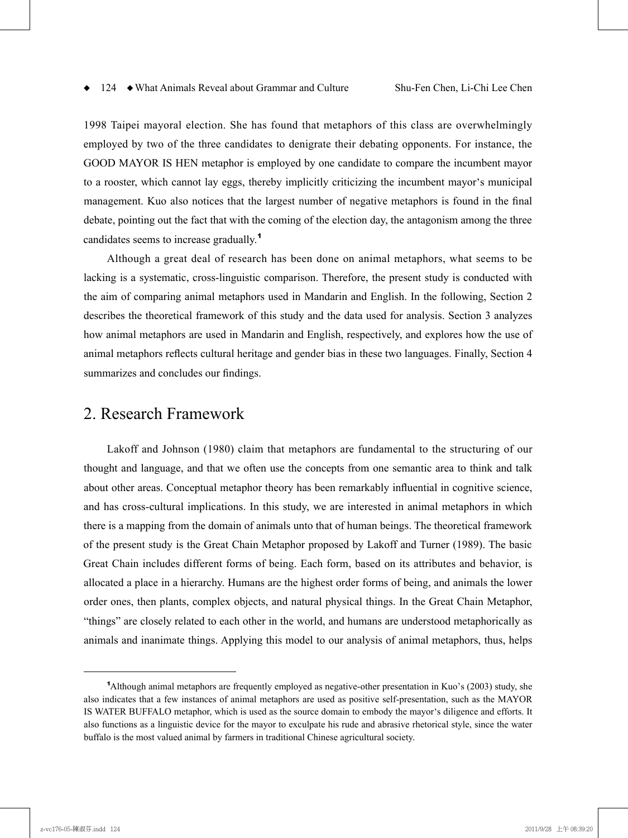1998 Taipei mayoral election. She has found that metaphors of this class are overwhelmingly employed by two of the three candidates to denigrate their debating opponents. For instance, the GOOD MAYOR IS HEN metaphor is employed by one candidate to compare the incumbent mayor to a rooster, which cannot lay eggs, thereby implicitly criticizing the incumbent mayor's municipal management. Kuo also notices that the largest number of negative metaphors is found in the final debate, pointing out the fact that with the coming of the election day, the antagonism among the three candidates seems to increase gradually. 1

Although a great deal of research has been done on animal metaphors, what seems to be lacking is a systematic, cross-linguistic comparison. Therefore, the present study is conducted with the aim of comparing animal metaphors used in Mandarin and English. In the following, Section 2 describes the theoretical framework of this study and the data used for analysis. Section 3 analyzes how animal metaphors are used in Mandarin and English, respectively, and explores how the use of animal metaphors reflects cultural heritage and gender bias in these two languages. Finally, Section 4 summarizes and concludes our findings.

## 2. Research Framework

Lakoff and Johnson (1980) claim that metaphors are fundamental to the structuring of our thought and language, and that we often use the concepts from one semantic area to think and talk about other areas. Conceptual metaphor theory has been remarkably influential in cognitive science, and has cross-cultural implications. In this study, we are interested in animal metaphors in which there is a mapping from the domain of animals unto that of human beings. The theoretical framework of the present study is the Great Chain Metaphor proposed by Lakoff and Turner (1989). The basic Great Chain includes different forms of being. Each form, based on its attributes and behavior, is allocated a place in a hierarchy. Humans are the highest order forms of being, and animals the lower order ones, then plants, complex objects, and natural physical things. In the Great Chain Metaphor, "things" are closely related to each other in the world, and humans are understood metaphorically as animals and inanimate things. Applying this model to our analysis of animal metaphors, thus, helps

<sup>1</sup> Although animal metaphors are frequently employed as negative-other presentation in Kuo's (2003) study, she also indicates that a few instances of animal metaphors are used as positive self-presentation, such as the MAYOR IS WATER BUFFALO metaphor, which is used as the source domain to embody the mayor's diligence and efforts. It also functions as a linguistic device for the mayor to exculpate his rude and abrasive rhetorical style, since the water buffalo is the most valued animal by farmers in traditional Chinese agricultural society.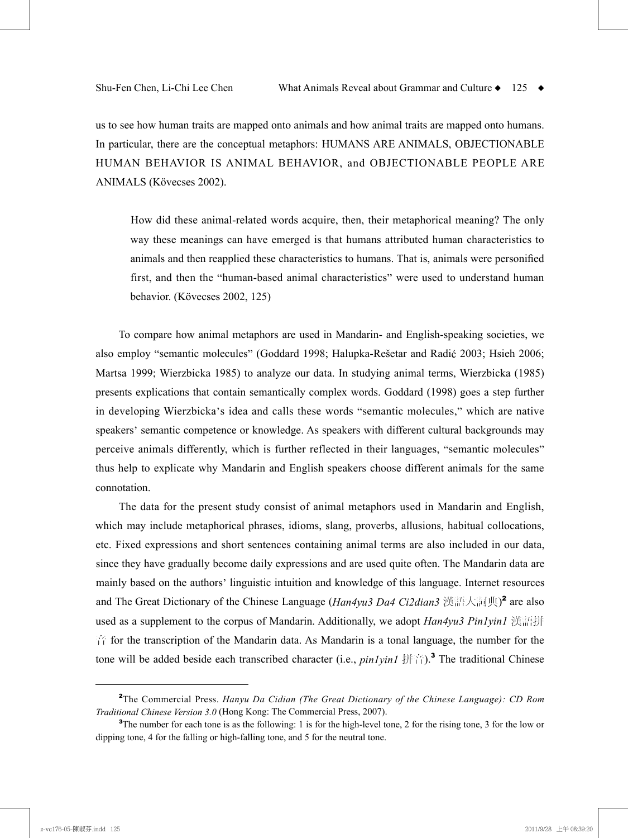us to see how human traits are mapped onto animals and how animal traits are mapped onto humans. In particular, there are the conceptual metaphors: HUMANS ARE ANIMALS, OBJECTIONABLE HUMAN BEHAVIOR IS ANIMAL BEHAVIOR, and OBJECTIONABLE PEOPLE ARE ANIMALS (Kövecses 2002).

How did these animal-related words acquire, then, their metaphorical meaning? The only way these meanings can have emerged is that humans attributed human characteristics to animals and then reapplied these characteristics to humans. That is, animals were personified first, and then the "human-based animal characteristics" were used to understand human behavior. (Kövecses 2002, 125)

To compare how animal metaphors are used in Mandarin- and English-speaking societies, we also employ "semantic molecules" (Goddard 1998; Halupka-Rešetar and Radić 2003; Hsieh 2006; Martsa 1999; Wierzbicka 1985) to analyze our data. In studying animal terms, Wierzbicka (1985) presents explications that contain semantically complex words. Goddard (1998) goes a step further in developing Wierzbicka's idea and calls these words "semantic molecules," which are native speakers' semantic competence or knowledge. As speakers with different cultural backgrounds may perceive animals differently, which is further reflected in their languages, "semantic molecules" thus help to explicate why Mandarin and English speakers choose different animals for the same connotation.

The data for the present study consist of animal metaphors used in Mandarin and English, which may include metaphorical phrases, idioms, slang, proverbs, allusions, habitual collocations, etc. Fixed expressions and short sentences containing animal terms are also included in our data, since they have gradually become daily expressions and are used quite often. The Mandarin data are mainly based on the authors' linguistic intuition and knowledge of this language. Internet resources and The Great Dictionary of the Chinese Language (*Han4yu3 Da4 Ci2dian3* 漢語大詞典) <sup>2</sup> are also used as a supplement to the corpus of Mandarin. Additionally, we adopt *Han4yu3 Pin1yin1* 漢語拼 音 for the transcription of the Mandarin data. As Mandarin is a tonal language, the number for the tone will be added beside each transcribed character (i.e., *pin1yin1* 拼音). <sup>3</sup> The traditional Chinese

<sup>2</sup> The Commercial Press. *Hanyu Da Cidian (The Great Dictionary of the Chinese Language): CD Rom Traditional Chinese Version 3.0* (Hong Kong: The Commercial Press, 2007).

<sup>&</sup>lt;sup>3</sup>The number for each tone is as the following: 1 is for the high-level tone, 2 for the rising tone, 3 for the low or dipping tone, 4 for the falling or high-falling tone, and 5 for the neutral tone.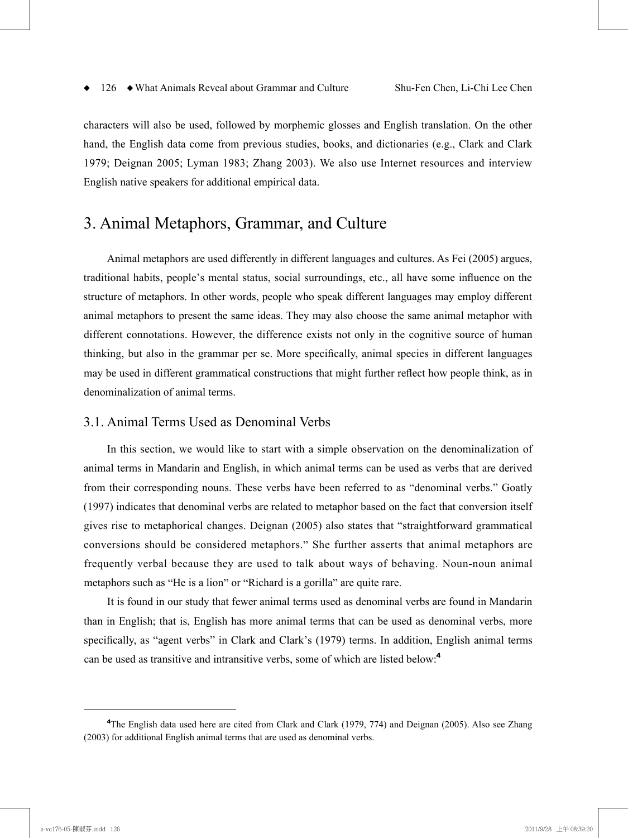characters will also be used, followed by morphemic glosses and English translation. On the other hand, the English data come from previous studies, books, and dictionaries (e.g., Clark and Clark 1979; Deignan 2005; Lyman 1983; Zhang 2003). We also use Internet resources and interview English native speakers for additional empirical data.

# 3. Animal Metaphors, Grammar, and Culture

Animal metaphors are used differently in different languages and cultures. As Fei (2005) argues, traditional habits, people's mental status, social surroundings, etc., all have some influence on the structure of metaphors. In other words, people who speak different languages may employ different animal metaphors to present the same ideas. They may also choose the same animal metaphor with different connotations. However, the difference exists not only in the cognitive source of human thinking, but also in the grammar per se. More specifically, animal species in different languages may be used in different grammatical constructions that might further reflect how people think, as in denominalization of animal terms.

## 3.1. Animal Terms Used as Denominal Verbs

In this section, we would like to start with a simple observation on the denominalization of animal terms in Mandarin and English, in which animal terms can be used as verbs that are derived from their corresponding nouns. These verbs have been referred to as "denominal verbs." Goatly (1997) indicates that denominal verbs are related to metaphor based on the fact that conversion itself gives rise to metaphorical changes. Deignan (2005) also states that "straightforward grammatical conversions should be considered metaphors." She further asserts that animal metaphors are frequently verbal because they are used to talk about ways of behaving. Noun-noun animal metaphors such as "He is a lion" or "Richard is a gorilla" are quite rare.

It is found in our study that fewer animal terms used as denominal verbs are found in Mandarin than in English; that is, English has more animal terms that can be used as denominal verbs, more specifically, as "agent verbs" in Clark and Clark's (1979) terms. In addition, English animal terms can be used as transitive and intransitive verbs, some of which are listed below: 4

<sup>4</sup> The English data used here are cited from Clark and Clark (1979, 774) and Deignan (2005). Also see Zhang (2003) for additional English animal terms that are used as denominal verbs.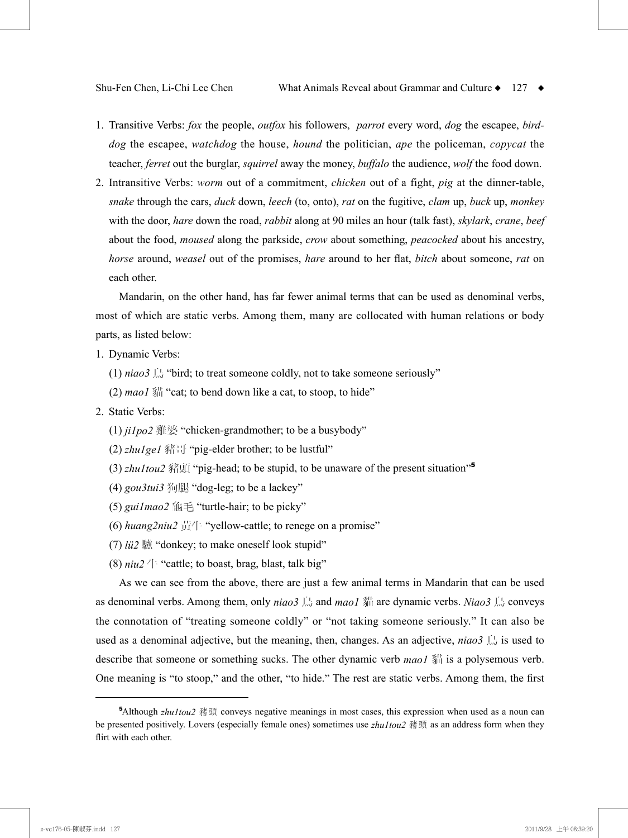- 1. Transitive Verbs: *fox* the people, *outfox* his followers, *parrot* every word, *dog* the escapee, *birddog* the escapee, *watchdog* the house, *hound* the politician, *ape* the policeman, *copycat* the teacher, *ferret* out the burglar, *squirrel* away the money, *buffalo* the audience, *wolf* the food down.
- 2. Intransitive Verbs: *worm* out of a commitment, *chicken* out of a fight, *pig* at the dinner-table, *snake* through the cars, *duck* down, *leech* (to, onto), *rat* on the fugitive, *clam* up, *buck* up, *monkey* with the door, *hare* down the road, *rabbit* along at 90 miles an hour (talk fast), *skylark*, *crane*, *beef* about the food, *moused* along the parkside, *crow* about something, *peacocked* about his ancestry, *horse* around, *weasel* out of the promises, *hare* around to her flat, *bitch* about someone, *rat* on each other.

Mandarin, on the other hand, has far fewer animal terms that can be used as denominal verbs, most of which are static verbs. Among them, many are collocated with human relations or body parts, as listed below:

- 1. Dynamic Verbs:
	- (1)  $niao3 \triangleq$  "bird; to treat someone coldly, not to take someone seriously"
	- $(2)$  *maol*  $\frac{34}{2}$  "cat; to bend down like a cat, to stoop, to hide"

#### 2. Static Verbs:

- (1) *ji1po2* 雞婆 "chicken-grandmother; to be a busybody"
- (2) *zhu1ge1* 豬哥 "pig-elder brother; to be lustful"
- (3) *zhu1tou2* 豬頭 "pig-head; to be stupid, to be unaware of the present situation" 5
- (4) *gou3tui3* 狗腿 "dog-leg; to be a lackey"
- (5) *gui1mao2* 龜毛 "turtle-hair; to be picky"
- (6) *huang2niu2* 黃牛 "yellow-cattle; to renege on a promise"
- (7) *lü2* 驢 "donkey; to make oneself look stupid"
- (8)  $niu2 \nleftrightarrow$  "cattle; to boast, brag, blast, talk big"

As we can see from the above, there are just a few animal terms in Mandarin that can be used as denominal verbs. Among them, only *niao3* 鳥 and *mao1* 貓 are dynamic verbs. *Niao3* 鳥 conveys the connotation of "treating someone coldly" or "not taking someone seriously." It can also be used as a denominal adjective, but the meaning, then, changes. As an adjective,  $niao3 \triangleq$  is used to describe that someone or something sucks. The other dynamic verb *mao1* 貓 is a polysemous verb. One meaning is "to stoop," and the other, "to hide." The rest are static verbs. Among them, the first

<sup>5</sup> Although *zhu1tou2* 豬頭 conveys negative meanings in most cases, this expression when used as a noun can be presented positively. Lovers (especially female ones) sometimes use *zhu1tou2* 豬頭 as an address form when they flirt with each other.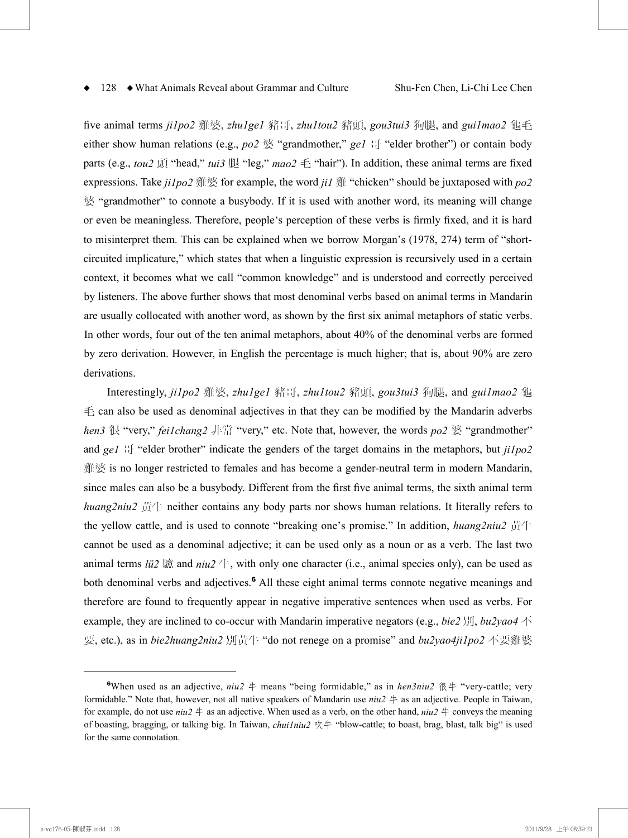five animal terms *ji1po2* 雞婆, *zhu1ge1* 豬哥, *zhu1tou2* 豬頭, *gou3tui3* 狗腿, and *gui1mao2* 龜毛 either show human relations (e.g., *po2* 婆 "grandmother," *ge1* 哥 "elder brother") or contain body parts (e.g., *tou2* 頭 "head," *tui3* 腿 "leg," *mao2* 毛 "hair"). In addition, these animal terms are fixed expressions. Take *ji1po2* 雞婆 for example, the word *ji1* 雞 "chicken" should be juxtaposed with *po2* 婆 "grandmother" to connote a busybody. If it is used with another word, its meaning will change or even be meaningless. Therefore, people's perception of these verbs is firmly fixed, and it is hard to misinterpret them. This can be explained when we borrow Morgan's (1978, 274) term of "shortcircuited implicature," which states that when a linguistic expression is recursively used in a certain context, it becomes what we call "common knowledge" and is understood and correctly perceived by listeners. The above further shows that most denominal verbs based on animal terms in Mandarin are usually collocated with another word, as shown by the first six animal metaphors of static verbs. In other words, four out of the ten animal metaphors, about 40% of the denominal verbs are formed by zero derivation. However, in English the percentage is much higher; that is, about 90% are zero derivations.

Interestingly, *ji1po2* 雞婆, *zhu1ge1* 豬哥, *zhu1tou2* 豬頭, *gou3tui3* 狗腿, and *gui1mao2* 龜  $\pm$  can also be used as denominal adjectives in that they can be modified by the Mandarin adverbs *hen3* 很 "very," *fei1chang2* 非常 "very," etc. Note that, however, the words *po2* 婆 "grandmother" and *ge1* 哥 "elder brother" indicate the genders of the target domains in the metaphors, but *ji1po2* 雞婆 is no longer restricted to females and has become a gender-neutral term in modern Mandarin, since males can also be a busybody. Different from the first five animal terms, the sixth animal term *huang2niu2* 黃牛 neither contains any body parts nor shows human relations. It literally refers to the yellow cattle, and is used to connote "breaking one's promise." In addition, *huang2niu2* 黃牛 cannot be used as a denominal adjective; it can be used only as a noun or as a verb. The last two animal terms *lü2*  $\frac{1}{2}$  and  $niu2 \nightharpoonup$ , with only one character (i.e., animal species only), can be used as both denominal verbs and adjectives. <sup>6</sup> All these eight animal terms connote negative meanings and therefore are found to frequently appear in negative imperative sentences when used as verbs. For example, they are inclined to co-occur with Mandarin imperative negators (e.g., *bie2* 別, *bu2yao4* 不 要, etc.), as in *bie2huang2niu2* 別黃牛 "do not renege on a promise" and *bu2yao4ji1po2* 不要雞婆

<sup>6</sup> When used as an adjective, *niu2* 牛 means "being formidable," as in *hen3niu2* 很牛 "very-cattle; very formidable." Note that, however, not all native speakers of Mandarin use *niu2* 牛 as an adjective. People in Taiwan, for example, do not use  $niu^2 \neq$  as an adjective. When used as a verb, on the other hand,  $niu^2 \neq$  conveys the meaning of boasting, bragging, or talking big. In Taiwan, *chui1niu2* 吹牛 "blow-cattle; to boast, brag, blast, talk big" is used for the same connotation.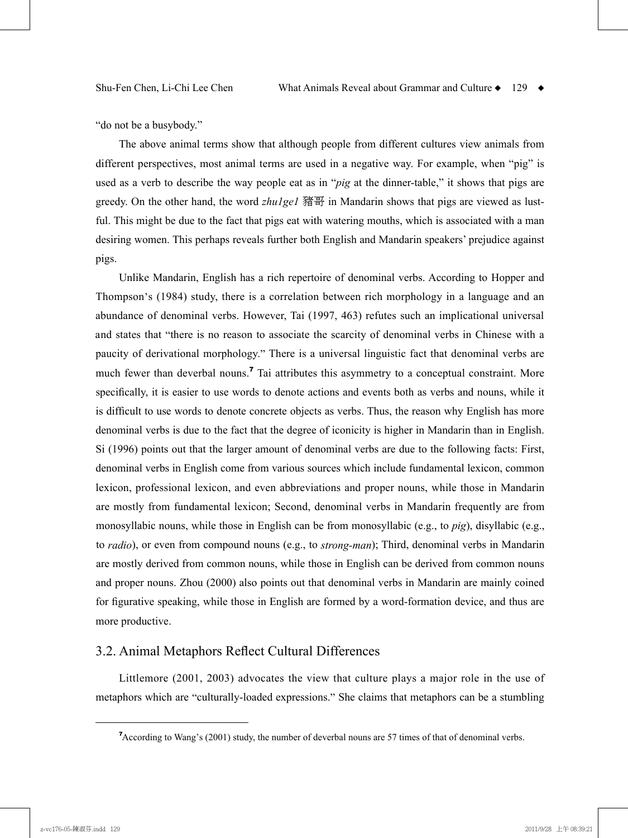"do not be a busybody."

The above animal terms show that although people from different cultures view animals from different perspectives, most animal terms are used in a negative way. For example, when "pig" is used as a verb to describe the way people eat as in "*pig* at the dinner-table," it shows that pigs are greedy. On the other hand, the word *zhu1ge1* 豬哥 in Mandarin shows that pigs are viewed as lustful. This might be due to the fact that pigs eat with watering mouths, which is associated with a man desiring women. This perhaps reveals further both English and Mandarin speakers' prejudice against pigs.

Unlike Mandarin, English has a rich repertoire of denominal verbs. According to Hopper and Thompson's (1984) study, there is a correlation between rich morphology in a language and an abundance of denominal verbs. However, Tai (1997, 463) refutes such an implicational universal and states that "there is no reason to associate the scarcity of denominal verbs in Chinese with a paucity of derivational morphology." There is a universal linguistic fact that denominal verbs are much fewer than deverbal nouns.<sup>7</sup> Tai attributes this asymmetry to a conceptual constraint. More specifically, it is easier to use words to denote actions and events both as verbs and nouns, while it is difficult to use words to denote concrete objects as verbs. Thus, the reason why English has more denominal verbs is due to the fact that the degree of iconicity is higher in Mandarin than in English. Si (1996) points out that the larger amount of denominal verbs are due to the following facts: First, denominal verbs in English come from various sources which include fundamental lexicon, common lexicon, professional lexicon, and even abbreviations and proper nouns, while those in Mandarin are mostly from fundamental lexicon; Second, denominal verbs in Mandarin frequently are from monosyllabic nouns, while those in English can be from monosyllabic (e.g., to *pig*), disyllabic (e.g., to *radio*), or even from compound nouns (e.g., to *strong-man*); Third, denominal verbs in Mandarin are mostly derived from common nouns, while those in English can be derived from common nouns and proper nouns. Zhou (2000) also points out that denominal verbs in Mandarin are mainly coined for figurative speaking, while those in English are formed by a word-formation device, and thus are more productive.

### 3.2. Animal Metaphors Reflect Cultural Differences

Littlemore (2001, 2003) advocates the view that culture plays a major role in the use of metaphors which are "culturally-loaded expressions." She claims that metaphors can be a stumbling

<sup>7</sup> According to Wang's (2001) study, the number of deverbal nouns are 57 times of that of denominal verbs.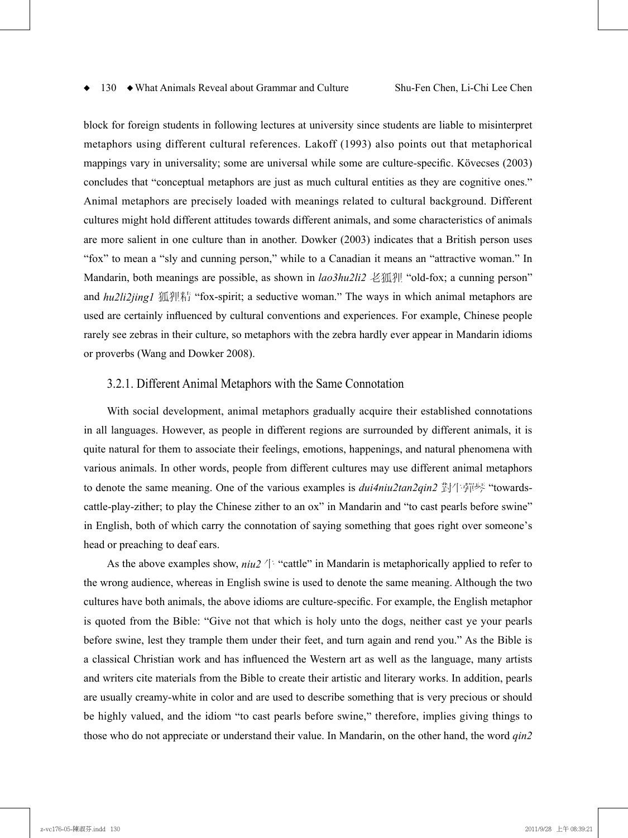block for foreign students in following lectures at university since students are liable to misinterpret metaphors using different cultural references. Lakoff (1993) also points out that metaphorical mappings vary in universality; some are universal while some are culture-specific. Kövecses (2003) concludes that "conceptual metaphors are just as much cultural entities as they are cognitive ones." Animal metaphors are precisely loaded with meanings related to cultural background. Different cultures might hold different attitudes towards different animals, and some characteristics of animals are more salient in one culture than in another. Dowker (2003) indicates that a British person uses "fox" to mean a "sly and cunning person," while to a Canadian it means an "attractive woman." In Mandarin, both meanings are possible, as shown in *lao3hu2li2* 老狐狸 "old-fox; a cunning person" and *hu2li2jing1* 狐狸精 "fox-spirit; a seductive woman." The ways in which animal metaphors are used are certainly influenced by cultural conventions and experiences. For example, Chinese people rarely see zebras in their culture, so metaphors with the zebra hardly ever appear in Mandarin idioms or proverbs (Wang and Dowker 2008).

#### 3.2.1. Different Animal Metaphors with the Same Connotation

With social development, animal metaphors gradually acquire their established connotations in all languages. However, as people in different regions are surrounded by different animals, it is quite natural for them to associate their feelings, emotions, happenings, and natural phenomena with various animals. In other words, people from different cultures may use different animal metaphors to denote the same meaning. One of the various examples is *dui4niu2tan2qin2* 對牛彈琴 "towardscattle-play-zither; to play the Chinese zither to an ox" in Mandarin and "to cast pearls before swine" in English, both of which carry the connotation of saying something that goes right over someone's head or preaching to deaf ears.

As the above examples show,  $niu2 \nightharpoonup$  "cattle" in Mandarin is metaphorically applied to refer to the wrong audience, whereas in English swine is used to denote the same meaning. Although the two cultures have both animals, the above idioms are culture-specific. For example, the English metaphor is quoted from the Bible: "Give not that which is holy unto the dogs, neither cast ye your pearls before swine, lest they trample them under their feet, and turn again and rend you." As the Bible is a classical Christian work and has influenced the Western art as well as the language, many artists and writers cite materials from the Bible to create their artistic and literary works. In addition, pearls are usually creamy-white in color and are used to describe something that is very precious or should be highly valued, and the idiom "to cast pearls before swine," therefore, implies giving things to those who do not appreciate or understand their value. In Mandarin, on the other hand, the word *qin2*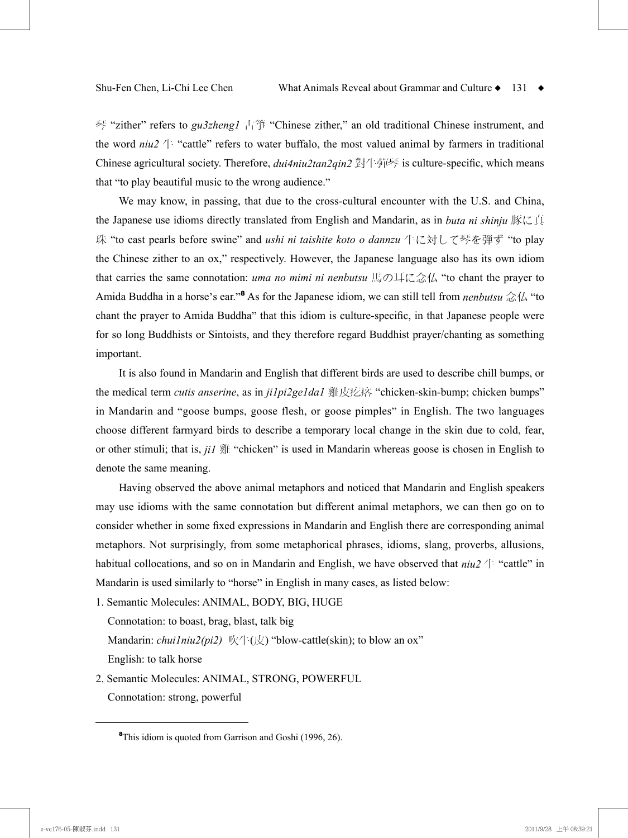琴 "zither" refers to *gu3zheng1* 古箏 "Chinese zither," an old traditional Chinese instrument, and the word *niu2* 牛 "cattle" refers to water buffalo, the most valued animal by farmers in traditional Chinese agricultural society. Therefore, *dui4niu2tan2qin2* 對牛彈琴 is culture-specific, which means that "to play beautiful music to the wrong audience."

We may know, in passing, that due to the cross-cultural encounter with the U.S. and China, the Japanese use idioms directly translated from English and Mandarin, as in *buta ni shinju* 豚に真 珠 "to cast pearls before swine" and *ushi ni taishite koto o dannzu* 牛に対して琴を弾ず "to play the Chinese zither to an ox," respectively. However, the Japanese language also has its own idiom that carries the same connotation: *uma no mimi ni nenbutsu* 馬の耳に念仏 "to chant the prayer to Amida Buddha in a horse's ear."<sup>8</sup> As for the Japanese idiom, we can still tell from *nenbutsu* 念仏 "to chant the prayer to Amida Buddha" that this idiom is culture-specific, in that Japanese people were for so long Buddhists or Sintoists, and they therefore regard Buddhist prayer/chanting as something important.

It is also found in Mandarin and English that different birds are used to describe chill bumps, or the medical term *cutis anserine*, as in *ji1pi2ge1da1* 雞皮疙瘩 "chicken-skin-bump; chicken bumps" in Mandarin and "goose bumps, goose flesh, or goose pimples" in English. The two languages choose different farmyard birds to describe a temporary local change in the skin due to cold, fear, or other stimuli; that is, *ji1* 雞 "chicken" is used in Mandarin whereas goose is chosen in English to denote the same meaning.

Having observed the above animal metaphors and noticed that Mandarin and English speakers may use idioms with the same connotation but different animal metaphors, we can then go on to consider whether in some fixed expressions in Mandarin and English there are corresponding animal metaphors. Not surprisingly, from some metaphorical phrases, idioms, slang, proverbs, allusions, habitual collocations, and so on in Mandarin and English, we have observed that  $niu/2$  <sup> $\pm$ </sup> "cattle" in Mandarin is used similarly to "horse" in English in many cases, as listed below:

1. Semantic Molecules: ANIMAL, BODY, BIG, HUGE

Connotation: to boast, brag, blast, talk big

Mandarin: *chui1niu2(pi2)* 吹牛(皮) "blow-cattle(skin); to blow an ox"

English: to talk horse

2. Semantic Molecules: ANIMAL, STRONG, POWERFUL Connotation: strong, powerful

<sup>&</sup>lt;sup>8</sup>This idiom is quoted from Garrison and Goshi (1996, 26).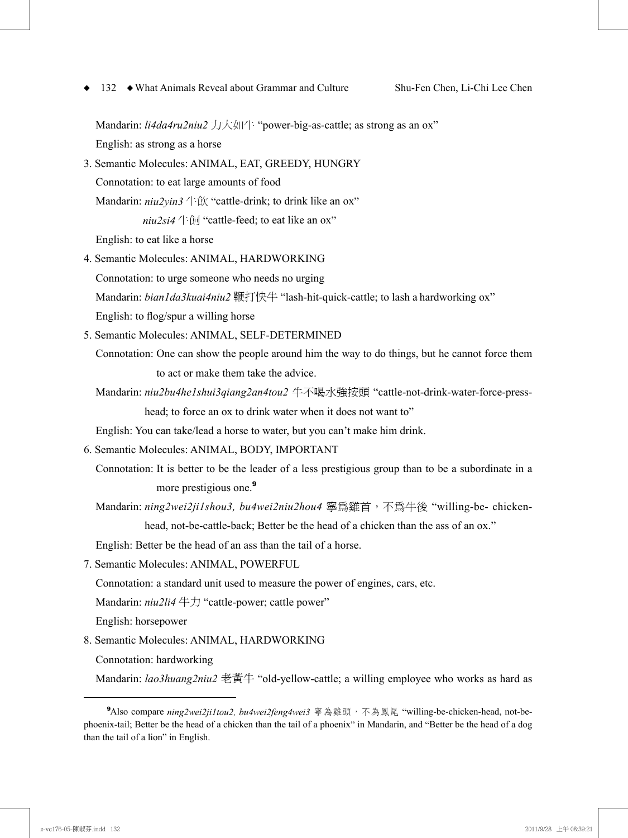Mandarin: *li4da4ru2niu2* 力大如牛 "power-big-as-cattle; as strong as an ox"

English: as strong as a horse

3. Semantic Molecules: ANIMAL, EAT, GREEDY, HUNGRY Connotation: to eat large amounts of food Mandarin: *niu2yin3* 牛飲 "cattle-drink; to drink like an ox" *niu2si4*  $+$   $\oplus$  "cattle-feed; to eat like an ox"

English: to eat like a horse

4. Semantic Molecules: ANIMAL, HARDWORKING

Connotation: to urge someone who needs no urging

Mandarin: *bian1da3kuai4niu2* 鞭打快牛 "lash-hit-quick-cattle; to lash a hardworking ox"

English: to flog/spur a willing horse

- 5. Semantic Molecules: ANIMAL, SELF-DETERMINED
	- Connotation: One can show the people around him the way to do things, but he cannot force them to act or make them take the advice.
	- Mandarin: *niu2bu4he1shui3qiang2an4tou2* 牛不喝水強按頭 "cattle-not-drink-water-force-presshead; to force an ox to drink water when it does not want to"

English: You can take/lead a horse to water, but you can't make him drink.

- 6. Semantic Molecules: ANIMAL, BODY, IMPORTANT
	- Connotation: It is better to be the leader of a less prestigious group than to be a subordinate in a more prestigious one.<sup>9</sup>
	- Mandarin: *ning2wei2ji1shou3, bu4wei2niu2hou4* 寧為雞首,不為牛後 "willing-be- chickenhead, not-be-cattle-back; Better be the head of a chicken than the ass of an ox."

English: Better be the head of an ass than the tail of a horse.

7. Semantic Molecules: ANIMAL, POWERFUL

Connotation: a standard unit used to measure the power of engines, cars, etc.

Mandarin: *niu2li4* 牛力 "cattle-power; cattle power"

English: horsepower

- 8. Semantic Molecules: ANIMAL, HARDWORKING
	- Connotation: hardworking

Mandarin: *lao3huang2niu2* 老黃牛 "old-yellow-cattle; a willing employee who works as hard as

**<sup>9</sup>**Also compare *ning2wei2ji1tou2, bu4wei2feng4wei3* 寧為雞頭,不為鳳尾"willing-be-chicken-head, not-bephoenix-tail; Better be the head of a chicken than the tail of a phoenix" in Mandarin, and "Better be the head of a dog than the tail of a lion" in English.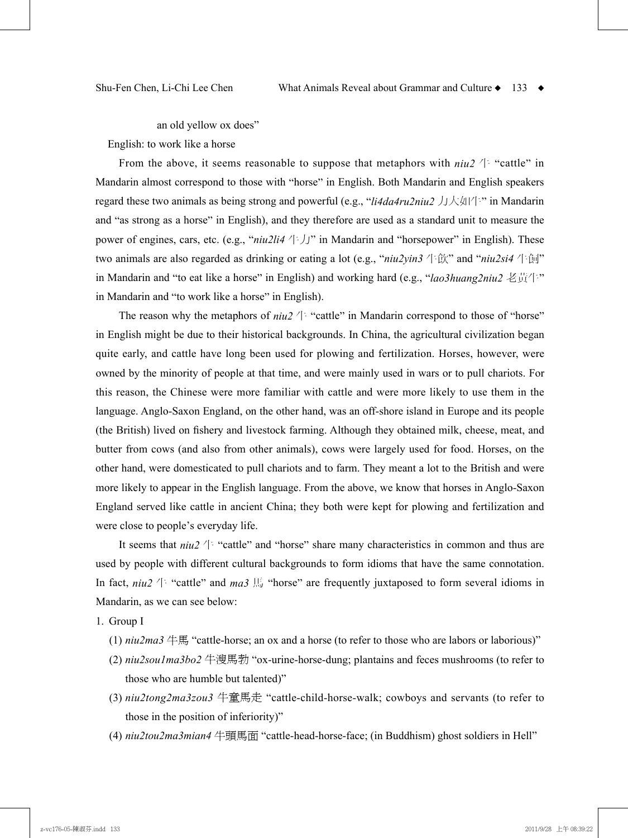an old yellow ox does"

English: to work like a horse

From the above, it seems reasonable to suppose that metaphors with  $niu2 \nightharpoonup$  "cattle" in Mandarin almost correspond to those with "horse" in English. Both Mandarin and English speakers regard these two animals as being strong and powerful (e.g., "*li4da4ru2niu2* 力大如牛" in Mandarin and "as strong as a horse" in English), and they therefore are used as a standard unit to measure the power of engines, cars, etc. (e.g., "*niu2li4* 牛力" in Mandarin and "horsepower" in English). These two animals are also regarded as drinking or eating a lot (e.g., "*niu2yin3* 牛飲" and "*niu2si4* 牛飼" in Mandarin and "to eat like a horse" in English) and working hard (e.g., "*lao3huang2niu2* 老黃牛" in Mandarin and "to work like a horse" in English).

The reason why the metaphors of  $niu2 \nleftrightarrow$  "cattle" in Mandarin correspond to those of "horse" in English might be due to their historical backgrounds. In China, the agricultural civilization began quite early, and cattle have long been used for plowing and fertilization. Horses, however, were owned by the minority of people at that time, and were mainly used in wars or to pull chariots. For this reason, the Chinese were more familiar with cattle and were more likely to use them in the language. Anglo-Saxon England, on the other hand, was an off-shore island in Europe and its people (the British) lived on fishery and livestock farming. Although they obtained milk, cheese, meat, and butter from cows (and also from other animals), cows were largely used for food. Horses, on the other hand, were domesticated to pull chariots and to farm. They meant a lot to the British and were more likely to appear in the English language. From the above, we know that horses in Anglo-Saxon England served like cattle in ancient China; they both were kept for plowing and fertilization and were close to people's everyday life.

It seems that  $niu2 \nleftrightarrow$  "cattle" and "horse" share many characteristics in common and thus are used by people with different cultural backgrounds to form idioms that have the same connotation. In fact,  $niu2 \nightharpoonup$  "cattle" and  $ma3$  Hestherm several *n* is the frequently juxtaposed to form several idioms in Mandarin, as we can see below:

1. Group I

- (1)  $niu2ma3$   $\text{\textsterling}$  "cattle-horse; an ox and a horse (to refer to those who are labors or laborious)"
- (2) *niu2sou1ma3bo2* 牛溲馬勃 "ox-urine-horse-dung; plantains and feces mushrooms (to refer to those who are humble but talented)"
- (3) *niu2tong2ma3zou3* 牛童馬走 "cattle-child-horse-walk; cowboys and servants (to refer to those in the position of inferiority)"
- (4) *niu2tou2ma3mian4* 牛頭馬面 "cattle-head-horse-face; (in Buddhism) ghost soldiers in Hell"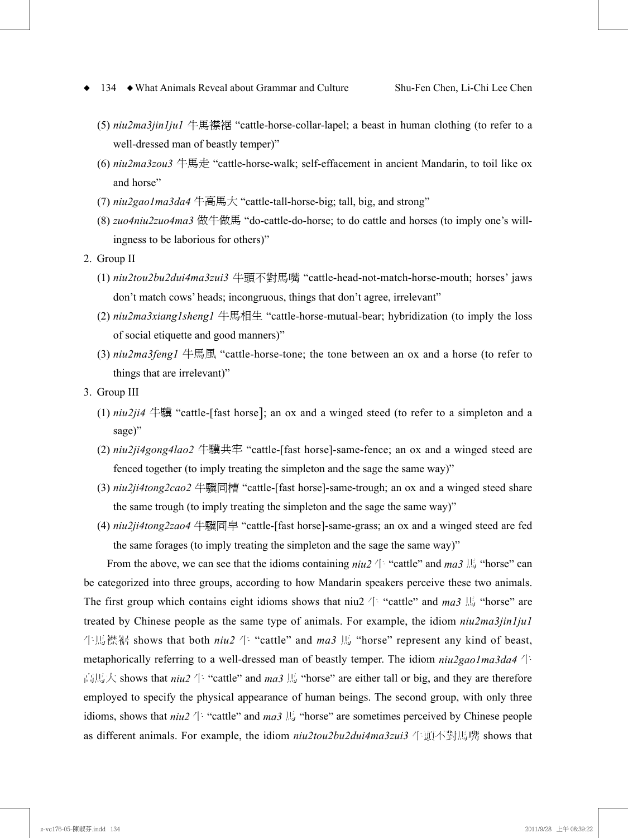- (5) *niu2ma3jin1ju1* 牛馬襟裾 "cattle-horse-collar-lapel; a beast in human clothing (to refer to a well-dressed man of beastly temper)"
- (6) *niu2ma3zou3* 牛馬走 "cattle-horse-walk; self-effacement in ancient Mandarin, to toil like ox and horse"
- (7) *niu2gao1ma3da4* 牛高馬大 "cattle-tall-horse-big; tall, big, and strong"
- (8) *zuo4niu2zuo4ma3* 做牛做馬 "do-cattle-do-horse; to do cattle and horses (to imply one's willingness to be laborious for others)"
- 2. Group II
	- (1) *niu2tou2bu2dui4ma3zui3* 牛頭不對馬嘴 "cattle-head-not-match-horse-mouth; horses' jaws don't match cows' heads; incongruous, things that don't agree, irrelevant"
	- (2) *niu2ma3xiang1sheng1* 牛馬相生 "cattle-horse-mutual-bear; hybridization (to imply the loss of social etiquette and good manners)"
	- (3) *niu2ma3feng1* 牛馬風 "cattle-horse-tone; the tone between an ox and a horse (to refer to things that are irrelevant)"
- 3. Group III
	- (1) *niu2ji4* 牛驥 "cattle-[fast horse]; an ox and a winged steed (to refer to a simpleton and a sage)"
	- (2) *niu2ji4gong4lao2* 牛驥共牢 "cattle-[fast horse]-same-fence; an ox and a winged steed are fenced together (to imply treating the simpleton and the sage the same way)"
	- (3) *niu2ji4tong2cao2* 牛驥同槽 "cattle-[fast horse]-same-trough; an ox and a winged steed share the same trough (to imply treating the simpleton and the sage the same way)"
	- (4) *niu2ji4tong2zao4* 牛驥同皁 "cattle-[fast horse]-same-grass; an ox and a winged steed are fed the same forages (to imply treating the simpleton and the sage the same way)"

From the above, we can see that the idioms containing  $niu^2 \leftrightarrow$  "cattle" and  $ma3 \not\equiv$  "horse" can be categorized into three groups, according to how Mandarin speakers perceive these two animals. The first group which contains eight idioms shows that niu2  $\#$  "cattle" and *ma3*  $\#$  "horse" are treated by Chinese people as the same type of animals. For example, the idiom *niu2ma3jin1ju1* 牛馬襟裾 shows that both *niu2* 牛 "cattle" and *ma3* 馬 "horse" represent any kind of beast, metaphorically referring to a well-dressed man of beastly temper. The idiom *niu2gao1ma3da4* 牛 高馬大 shows that *niu2* 牛 "cattle" and *ma3* 馬 "horse" are either tall or big, and they are therefore employed to specify the physical appearance of human beings. The second group, with only three idioms, shows that  $niu2 \nleftrightarrow$  "cattle" and  $ma3$   $\hbox{\ss H}$  "horse" are sometimes perceived by Chinese people as different animals. For example, the idiom *niu2tou2bu2dui4ma3zui3* 牛頭不對馬嘴 shows that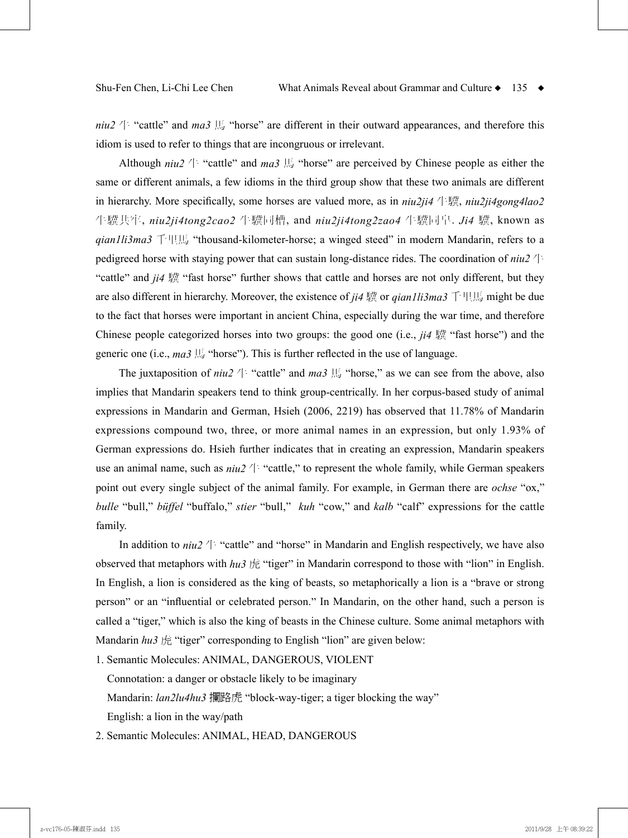*niu2*  $\#$  "cattle" and *ma3*  $\#$  "horse" are different in their outward appearances, and therefore this idiom is used to refer to things that are incongruous or irrelevant.

Although  $niu2 \nightharpoonup$  "cattle" and *ma3*  $\overline{B}$  "horse" are perceived by Chinese people as either the same or different animals, a few idioms in the third group show that these two animals are different in hierarchy. More specifically, some horses are valued more, as in *niu2ji4* 牛驥, *niu2ji4gong4lao2* 牛驥共牢, *niu2ji4tong2cao2* 牛驥同槽, and *niu2ji4tong2zao4* 牛驥同皁. *Ji4* 驥, known as *qian1li3ma3* 千里馬 "thousand-kilometer-horse; a winged steed" in modern Mandarin, refers to a pedigreed horse with staying power that can sustain long-distance rides. The coordination of *niu2* 牛 "cattle" and *ji4* 驥 "fast horse" further shows that cattle and horses are not only different, but they are also different in hierarchy. Moreover, the existence of *ji4* 驥 or *qian1li3ma3* 千里馬 might be due to the fact that horses were important in ancient China, especially during the war time, and therefore Chinese people categorized horses into two groups: the good one (i.e., *ji4* 驥 "fast horse") and the generic one (i.e., *ma3* 馬 "horse"). This is further reflected in the use of language.

The juxtaposition of *niu2*  $\#$  "cattle" and *ma3*  $\#$  "horse," as we can see from the above, also implies that Mandarin speakers tend to think group-centrically. In her corpus-based study of animal expressions in Mandarin and German, Hsieh (2006, 2219) has observed that 11.78% of Mandarin expressions compound two, three, or more animal names in an expression, but only 1.93% of German expressions do. Hsieh further indicates that in creating an expression, Mandarin speakers use an animal name, such as  $niu^2 \nightharpoonup$  "cattle," to represent the whole family, while German speakers point out every single subject of the animal family. For example, in German there are *ochse* "ox," *bulle* "bull," *büffel* "buffalo," *stier* "bull," *kuh* "cow," and *kalb* "calf" expressions for the cattle family.

In addition to *niu2* 牛 "cattle" and "horse" in Mandarin and English respectively, we have also observed that metaphors with *hu3* 虎 "tiger" in Mandarin correspond to those with "lion" in English. In English, a lion is considered as the king of beasts, so metaphorically a lion is a "brave or strong person" or an "influential or celebrated person." In Mandarin, on the other hand, such a person is called a "tiger," which is also the king of beasts in the Chinese culture. Some animal metaphors with Mandarin  $hu3$  虎 "tiger" corresponding to English "lion" are given below:

1. Semantic Molecules: ANIMAL, DANGEROUS, VIOLENT

Connotation: a danger or obstacle likely to be imaginary

Mandarin: *lan2lu4hu3* 攔路虎 "block-way-tiger; a tiger blocking the way"

English: a lion in the way/path

2. Semantic Molecules: ANIMAL, HEAD, DANGEROUS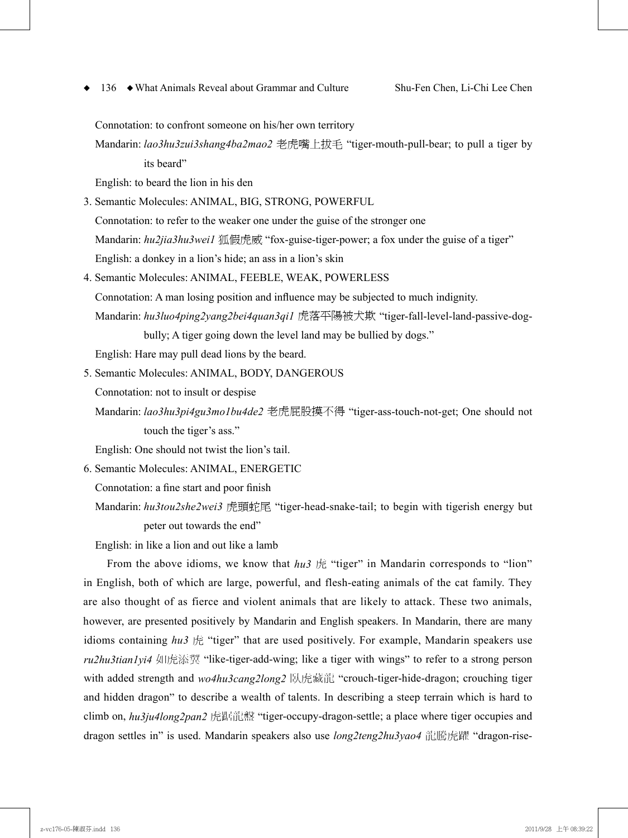Connotation: to confront someone on his/her own territory

Mandarin: *lao3hu3zui3shang4ba2mao2* 老虎嘴上拔毛 "tiger-mouth-pull-bear; to pull a tiger by its beard"

English: to beard the lion in his den

3. Semantic Molecules: ANIMAL, BIG, STRONG, POWERFUL Connotation: to refer to the weaker one under the guise of the stronger one Mandarin: *hu2jia3hu3wei1* 狐假虎威 "fox-guise-tiger-power; a fox under the guise of a tiger"

English: a donkey in a lion's hide; an ass in a lion's skin

4. Semantic Molecules: ANIMAL, FEEBLE, WEAK, POWERLESS Connotation: A man losing position and influence may be subjected to much indignity. Mandarin: *hu3luo4ping2yang2bei4quan3qi1* 虎落平陽被犬欺 "tiger-fall-level-land-passive-dog-

bully; A tiger going down the level land may be bullied by dogs."

English: Hare may pull dead lions by the beard.

5. Semantic Molecules: ANIMAL, BODY, DANGEROUS

Connotation: not to insult or despise

Mandarin: *lao3hu3pi4gu3mo1bu4de2* 老虎屁股摸不得 "tiger-ass-touch-not-get; One should not touch the tiger's ass."

English: One should not twist the lion's tail.

6. Semantic Molecules: ANIMAL, ENERGETIC

Connotation: a fine start and poor finish

Mandarin: *hu3tou2she2wei3* 虎頭蛇尾 "tiger-head-snake-tail; to begin with tigerish energy but peter out towards the end"

English: in like a lion and out like a lamb

From the above idioms, we know that  $hu3$  虎 "tiger" in Mandarin corresponds to "lion" in English, both of which are large, powerful, and flesh-eating animals of the cat family. They are also thought of as fierce and violent animals that are likely to attack. These two animals, however, are presented positively by Mandarin and English speakers. In Mandarin, there are many idioms containing *hu3* 虎 "tiger" that are used positively. For example, Mandarin speakers use *ru2hu3tian1yi4* 如虎添翼 "like-tiger-add-wing; like a tiger with wings" to refer to a strong person with added strength and  $wo4hu3cang2long2$  臥虎藏龍 "crouch-tiger-hide-dragon; crouching tiger and hidden dragon" to describe a wealth of talents. In describing a steep terrain which is hard to climb on, *hu3ju4long2pan2* 虎踞龍盤 "tiger-occupy-dragon-settle; a place where tiger occupies and dragon settles in" is used. Mandarin speakers also use *long2teng2hu3yao4* 龍騰虎躍 "dragon-rise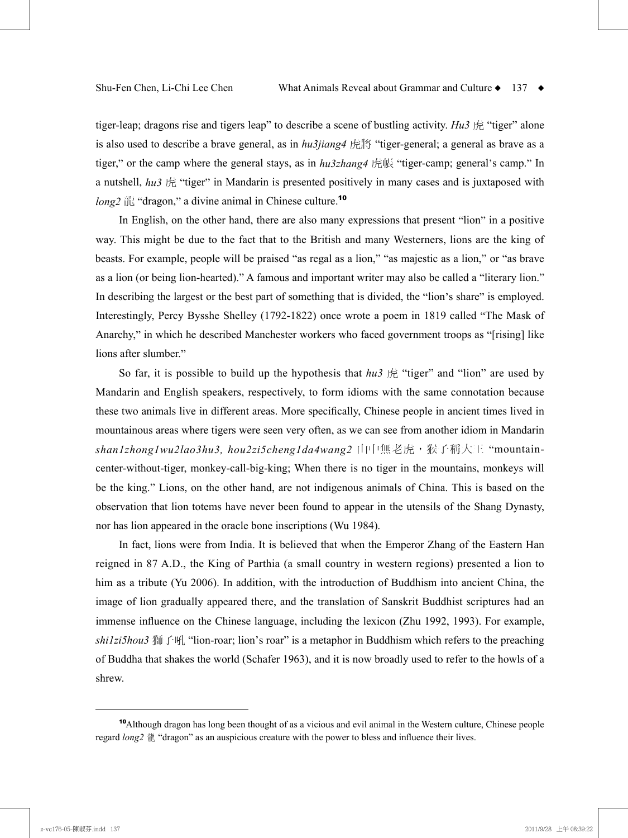tiger-leap; dragons rise and tigers leap" to describe a scene of bustling activity. *Hu3* 虎 "tiger" alone is also used to describe a brave general, as in *hu3jiang4* 虎將 "tiger-general; a general as brave as a tiger," or the camp where the general stays, as in *hu3zhang4* 虎帳 "tiger-camp; general's camp." In a nutshell, *hu3* 虎 "tiger" in Mandarin is presented positively in many cases and is juxtaposed with *long2* 龍 "dragon," a divine animal in Chinese culture. 10

In English, on the other hand, there are also many expressions that present "lion" in a positive way. This might be due to the fact that to the British and many Westerners, lions are the king of beasts. For example, people will be praised "as regal as a lion," "as majestic as a lion," or "as brave as a lion (or being lion-hearted)." A famous and important writer may also be called a "literary lion." In describing the largest or the best part of something that is divided, the "lion's share" is employed. Interestingly, Percy Bysshe Shelley (1792-1822) once wrote a poem in 1819 called "The Mask of Anarchy," in which he described Manchester workers who faced government troops as "[rising] like lions after slumber."

So far, it is possible to build up the hypothesis that  $hu3 \nrightarrow \mathbb{R}$  "tiger" and "lion" are used by Mandarin and English speakers, respectively, to form idioms with the same connotation because these two animals live in different areas. More specifically, Chinese people in ancient times lived in mountainous areas where tigers were seen very often, as we can see from another idiom in Mandarin *shan1zhong1wu2lao3hu3, hou2zi5cheng1da4wang2* 山中無老虎,猴子稱大王 "mountaincenter-without-tiger, monkey-call-big-king; When there is no tiger in the mountains, monkeys will be the king." Lions, on the other hand, are not indigenous animals of China. This is based on the observation that lion totems have never been found to appear in the utensils of the Shang Dynasty, nor has lion appeared in the oracle bone inscriptions (Wu 1984).

In fact, lions were from India. It is believed that when the Emperor Zhang of the Eastern Han reigned in 87 A.D., the King of Parthia (a small country in western regions) presented a lion to him as a tribute (Yu 2006). In addition, with the introduction of Buddhism into ancient China, the image of lion gradually appeared there, and the translation of Sanskrit Buddhist scriptures had an immense influence on the Chinese language, including the lexicon (Zhu 1992, 1993). For example, *shi1zi5hou3* 獅子吼 "lion-roar; lion's roar" is a metaphor in Buddhism which refers to the preaching of Buddha that shakes the world (Schafer 1963), and it is now broadly used to refer to the howls of a shrew.

<sup>10</sup>Although dragon has long been thought of as a vicious and evil animal in the Western culture, Chinese people regard *long2* 龍 "dragon" as an auspicious creature with the power to bless and influence their lives.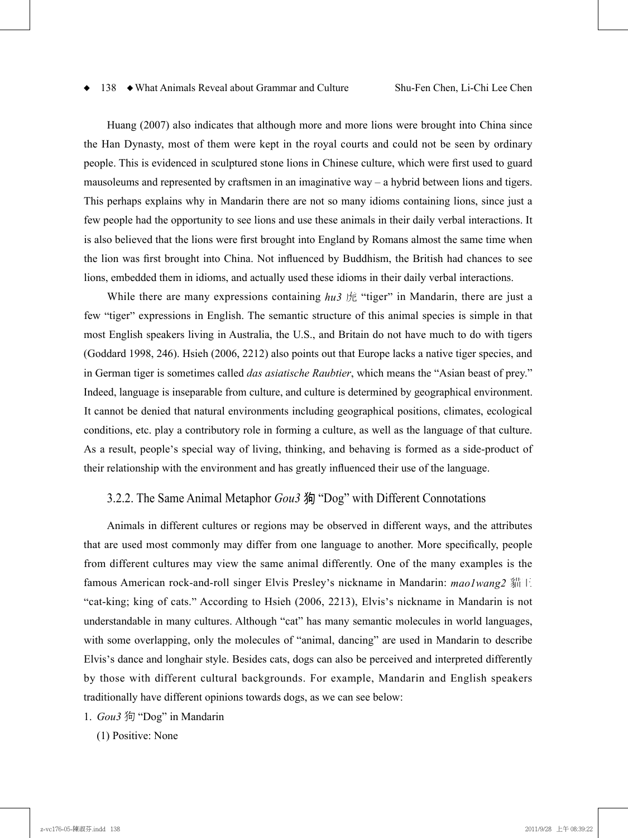Huang (2007) also indicates that although more and more lions were brought into China since the Han Dynasty, most of them were kept in the royal courts and could not be seen by ordinary people. This is evidenced in sculptured stone lions in Chinese culture, which were first used to guard mausoleums and represented by craftsmen in an imaginative way – a hybrid between lions and tigers. This perhaps explains why in Mandarin there are not so many idioms containing lions, since just a few people had the opportunity to see lions and use these animals in their daily verbal interactions. It is also believed that the lions were first brought into England by Romans almost the same time when the lion was first brought into China. Not influenced by Buddhism, the British had chances to see lions, embedded them in idioms, and actually used these idioms in their daily verbal interactions.

While there are many expressions containing *hu3* 虎 "tiger" in Mandarin, there are just a few "tiger" expressions in English. The semantic structure of this animal species is simple in that most English speakers living in Australia, the U.S., and Britain do not have much to do with tigers (Goddard 1998, 246). Hsieh (2006, 2212) also points out that Europe lacks a native tiger species, and in German tiger is sometimes called *das asiatische Raubtier*, which means the "Asian beast of prey." Indeed, language is inseparable from culture, and culture is determined by geographical environment. It cannot be denied that natural environments including geographical positions, climates, ecological conditions, etc. play a contributory role in forming a culture, as well as the language of that culture. As a result, people's special way of living, thinking, and behaving is formed as a side-product of their relationship with the environment and has greatly influenced their use of the language.

## 3.2.2. The Same Animal Metaphor *Gou3* 狗 "Dog" with Different Connotations

Animals in different cultures or regions may be observed in different ways, and the attributes that are used most commonly may differ from one language to another. More specifically, people from different cultures may view the same animal differently. One of the many examples is the famous American rock-and-roll singer Elvis Presley's nickname in Mandarin: *mao1wang2* 貓王 "cat-king; king of cats." According to Hsieh (2006, 2213), Elvis's nickname in Mandarin is not understandable in many cultures. Although "cat" has many semantic molecules in world languages, with some overlapping, only the molecules of "animal, dancing" are used in Mandarin to describe Elvis's dance and longhair style. Besides cats, dogs can also be perceived and interpreted differently by those with different cultural backgrounds. For example, Mandarin and English speakers traditionally have different opinions towards dogs, as we can see below:

1. *Gou3* 狗 "Dog" in Mandarin

(1) Positive: None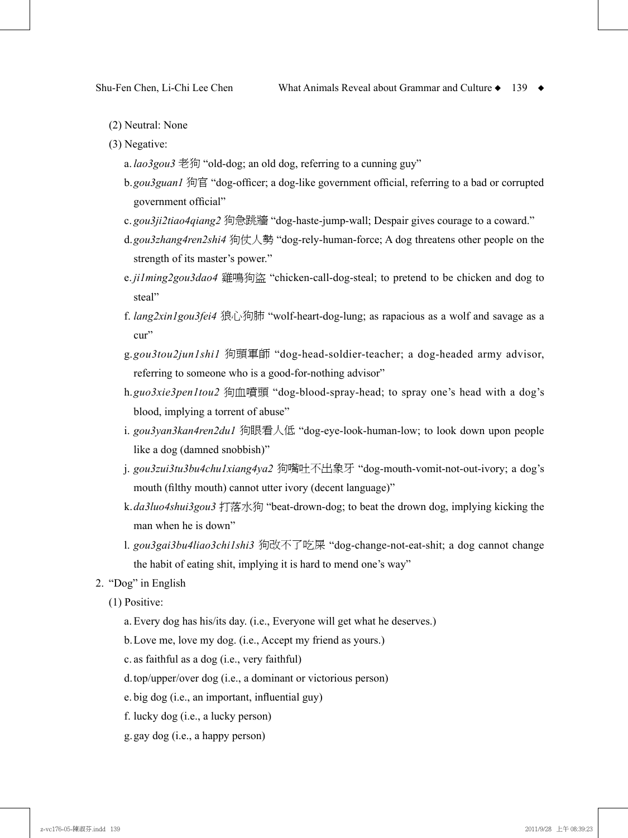- (2) Neutral: None
- (3) Negative:
	- a. *lao3gou3* 老狗 "old-dog; an old dog, referring to a cunning guy"
	- b. *gou3guan1* 狗官 "dog-officer; a dog-like government official, referring to a bad or corrupted government official"
	- c. *gou3ji2tiao4qiang2* 狗急跳牆 "dog-haste-jump-wall; Despair gives courage to a coward."
	- d. *gou3zhang4ren2shi4* 狗仗人勢 "dog-rely-human-force; A dog threatens other people on the strength of its master's power."
	- e. *ji1ming2gou3dao4* 雞鳴狗盜 "chicken-call-dog-steal; to pretend to be chicken and dog to steal"
	- f. *lang2xin1gou3fei4* 狼心狗肺 "wolf-heart-dog-lung; as rapacious as a wolf and savage as a cur"
	- g. *gou3tou2jun1shi1* 狗頭軍師 "dog-head-soldier-teacher; a dog-headed army advisor, referring to someone who is a good-for-nothing advisor"
	- h. *guo3xie3pen1tou2* 狗血噴頭 "dog-blood-spray-head; to spray one's head with a dog's blood, implying a torrent of abuse"
	- i. *gou3yan3kan4ren2du1* 狗眼看人低 "dog-eye-look-human-low; to look down upon people like a dog (damned snobbish)"
	- j. *gou3zui3tu3bu4chu1xiang4ya2* 狗嘴吐不出象牙 "dog-mouth-vomit-not-out-ivory; a dog's mouth (filthy mouth) cannot utter ivory (decent language)"
	- k. *da3luo4shui3gou3* 打落水狗 "beat-drown-dog; to beat the drown dog, implying kicking the man when he is down"
	- l. *gou3gai3bu4liao3chi1shi3* 狗改不了吃屎 "dog-change-not-eat-shit; a dog cannot change the habit of eating shit, implying it is hard to mend one's way"

## 2. "Dog" in English

(1) Positive:

- a. Every dog has his/its day. (i.e., Everyone will get what he deserves.)
- b.Love me, love my dog. (i.e., Accept my friend as yours.)
- c. as faithful as a dog (i.e., very faithful)
- d.top/upper/over dog (i.e., a dominant or victorious person)
- e. big dog (i.e., an important, influential guy)
- f. lucky dog (i.e., a lucky person)
- g.gay dog (i.e., a happy person)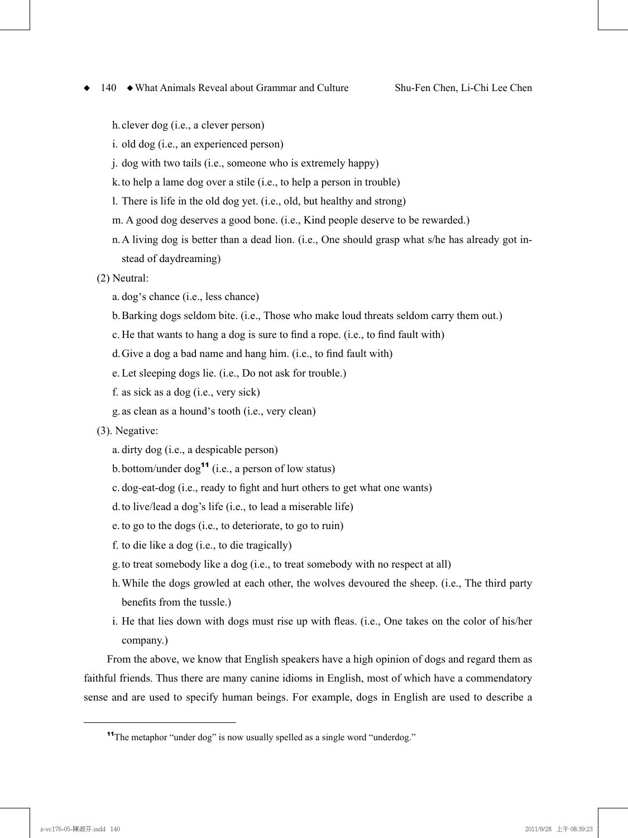h.clever dog (i.e., a clever person)

- i. old dog (i.e., an experienced person)
- j. dog with two tails (i.e., someone who is extremely happy)
- k.to help a lame dog over a stile (i.e., to help a person in trouble)
- l. There is life in the old dog yet. (i.e., old, but healthy and strong)
- m. A good dog deserves a good bone. (i.e., Kind people deserve to be rewarded.)
- n.A living dog is better than a dead lion. (i.e., One should grasp what s/he has already got instead of daydreaming)
- (2) Neutral:
	- a. dog's chance (i.e., less chance)
	- b.Barking dogs seldom bite. (i.e., Those who make loud threats seldom carry them out.)
	- c. He that wants to hang a dog is sure to find a rope. (i.e., to find fault with)
	- d.Give a dog a bad name and hang him. (i.e., to find fault with)
	- e. Let sleeping dogs lie. (i.e., Do not ask for trouble.)
	- f. as sick as a dog (i.e., very sick)
	- g.as clean as a hound's tooth (i.e., very clean)
- (3). Negative:
	- a. dirty dog (i.e., a despicable person)
	- b. bottom/under  $\log^{11}$  (i.e., a person of low status)
	- c. dog-eat-dog (i.e., ready to fight and hurt others to get what one wants)
	- d.to live/lead a dog's life (i.e., to lead a miserable life)
	- e. to go to the dogs (i.e., to deteriorate, to go to ruin)
	- f. to die like a dog (i.e., to die tragically)
	- g.to treat somebody like a dog (i.e., to treat somebody with no respect at all)
	- h. While the dogs growled at each other, the wolves devoured the sheep. (i.e., The third party benefits from the tussle.)
	- i. He that lies down with dogs must rise up with fleas. (i.e., One takes on the color of his/her company.)

From the above, we know that English speakers have a high opinion of dogs and regard them as faithful friends. Thus there are many canine idioms in English, most of which have a commendatory sense and are used to specify human beings. For example, dogs in English are used to describe a

<sup>&</sup>lt;sup>11</sup>The metaphor "under dog" is now usually spelled as a single word "underdog."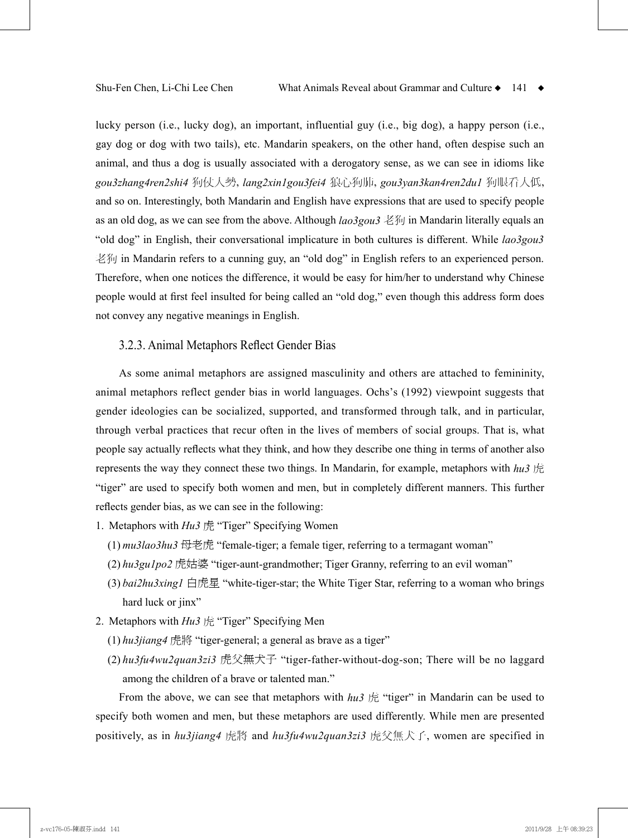lucky person (i.e., lucky dog), an important, influential guy (i.e., big dog), a happy person (i.e., gay dog or dog with two tails), etc. Mandarin speakers, on the other hand, often despise such an animal, and thus a dog is usually associated with a derogatory sense, as we can see in idioms like *gou3zhang4ren2shi4* 狗仗人勢, *lang2xin1gou3fei4* 狼心狗肺, *gou3yan3kan4ren2du1* 狗眼看人低, and so on. Interestingly, both Mandarin and English have expressions that are used to specify people as an old dog, as we can see from the above. Although *lao3gou3* 老狗 in Mandarin literally equals an "old dog" in English, their conversational implicature in both cultures is different. While *lao3gou3* 老狗 in Mandarin refers to a cunning guy, an "old dog" in English refers to an experienced person. Therefore, when one notices the difference, it would be easy for him/her to understand why Chinese people would at first feel insulted for being called an "old dog," even though this address form does not convey any negative meanings in English.

### 3.2.3. Animal Metaphors Reflect Gender Bias

As some animal metaphors are assigned masculinity and others are attached to femininity, animal metaphors reflect gender bias in world languages. Ochs's (1992) viewpoint suggests that gender ideologies can be socialized, supported, and transformed through talk, and in particular, through verbal practices that recur often in the lives of members of social groups. That is, what people say actually reflects what they think, and how they describe one thing in terms of another also represents the way they connect these two things. In Mandarin, for example, metaphors with *hu3* 虎 "tiger" are used to specify both women and men, but in completely different manners. This further reflects gender bias, as we can see in the following:

- 1. Metaphors with *Hu3* 虎 "Tiger" Specifying Women
	- (1)  $mu3la03hu3 \nleftrightarrow \nexists \nexists$  example-tiger; a female tiger, referring to a termagant woman"
	- (2) *hu3gu1po2* 虎姑婆 "tiger-aunt-grandmother; Tiger Granny, referring to an evil woman"
	- (3) *bai2hu3xing1* 白虎星 "white-tiger-star; the White Tiger Star, referring to a woman who brings hard luck or jinx"
- 2. Metaphors with *Hu3* 虎 "Tiger" Specifying Men
	- (1) *hu3jiang4* 虎將 "tiger-general; a general as brave as a tiger"
	- (2) *hu3fu4wu2quan3zi3* 虎父無犬子 "tiger-father-without-dog-son; There will be no laggard among the children of a brave or talented man."

From the above, we can see that metaphors with  $hu3 \nrightarrow \mathbb{R}$  "tiger" in Mandarin can be used to specify both women and men, but these metaphors are used differently. While men are presented positively, as in *hu3jiang4* 虎將 and *hu3fu4wu2quan3zi3* 虎父無犬子, women are specified in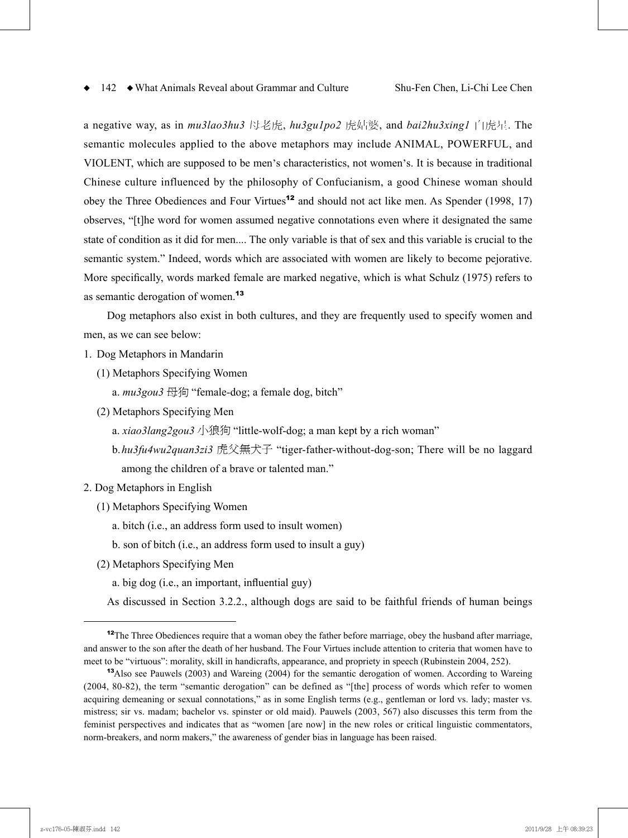a negative way, as in *mu3lao3hu3* 母老虎, *hu3gu1po2* 虎姑婆, and *bai2hu3xing1* 白虎星. The semantic molecules applied to the above metaphors may include ANIMAL, POWERFUL, and VIOLENT, which are supposed to be men's characteristics, not women's. It is because in traditional Chinese culture influenced by the philosophy of Confucianism, a good Chinese woman should obey the Three Obediences and Four Virtues<sup>12</sup> and should not act like men. As Spender (1998, 17) observes, "[t]he word for women assumed negative connotations even where it designated the same state of condition as it did for men.... The only variable is that of sex and this variable is crucial to the semantic system." Indeed, words which are associated with women are likely to become pejorative. More specifically, words marked female are marked negative, which is what Schulz (1975) refers to as semantic derogation of women.<sup>13</sup>

Dog metaphors also exist in both cultures, and they are frequently used to specify women and men, as we can see below:

- 1. Dog Metaphors in Mandarin
	- (1) Metaphors Specifying Women
		- a.  $mu3gou3 \nleftrightarrow$  "female-dog; a female dog, bitch"
	- (2) Metaphors Specifying Men
		- a. *xiao3lang2gou3* 小狼狗 "little-wolf-dog; a man kept by a rich woman"
		- b. *hu3fu4wu2quan3zi3* 虎父無犬子 "tiger-father-without-dog-son; There will be no laggard among the children of a brave or talented man."
- 2. Dog Metaphors in English
	- (1) Metaphors Specifying Women
		- a. bitch (i.e., an address form used to insult women)
		- b. son of bitch (i.e., an address form used to insult a guy)
	- (2) Metaphors Specifying Men
		- a. big dog (i.e., an important, influential guy)

As discussed in Section 3.2.2., although dogs are said to be faithful friends of human beings

<sup>&</sup>lt;sup>12</sup>The Three Obediences require that a woman obey the father before marriage, obey the husband after marriage, and answer to the son after the death of her husband. The Four Virtues include attention to criteria that women have to meet to be "virtuous": morality, skill in handicrafts, appearance, and propriety in speech (Rubinstein 2004, 252).

<sup>&</sup>lt;sup>13</sup>Also see Pauwels (2003) and Wareing (2004) for the semantic derogation of women. According to Wareing (2004, 80-82), the term "semantic derogation" can be defined as "[the] process of words which refer to women acquiring demeaning or sexual connotations," as in some English terms (e.g., gentleman or lord vs. lady; master vs. mistress; sir vs. madam; bachelor vs. spinster or old maid). Pauwels (2003, 567) also discusses this term from the feminist perspectives and indicates that as "women [are now] in the new roles or critical linguistic commentators, norm-breakers, and norm makers," the awareness of gender bias in language has been raised.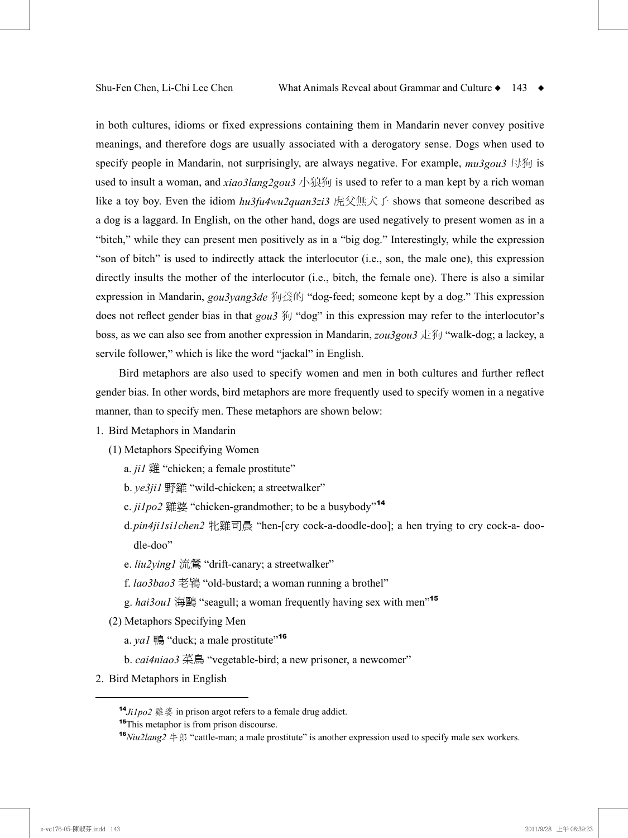in both cultures, idioms or fixed expressions containing them in Mandarin never convey positive meanings, and therefore dogs are usually associated with a derogatory sense. Dogs when used to specify people in Mandarin, not surprisingly, are always negative. For example, *mu3gou3* 母狗 is used to insult a woman, and  $xiao3lang2gou3$   $\sqrt{3}$  is used to refer to a man kept by a rich woman like a toy boy. Even the idiom *hu3fu4wu2quan3zi3* 虎父無犬子 shows that someone described as a dog is a laggard. In English, on the other hand, dogs are used negatively to present women as in a "bitch," while they can present men positively as in a "big dog." Interestingly, while the expression "son of bitch" is used to indirectly attack the interlocutor (i.e., son, the male one), this expression directly insults the mother of the interlocutor (i.e., bitch, the female one). There is also a similar expression in Mandarin, *gou3yang3de* 狗養的 "dog-feed; someone kept by a dog." This expression does not reflect gender bias in that *gou3* 狗 "dog" in this expression may refer to the interlocutor's boss, as we can also see from another expression in Mandarin, *zou3gou3* 走狗 "walk-dog; a lackey, a servile follower," which is like the word "jackal" in English.

Bird metaphors are also used to specify women and men in both cultures and further reflect gender bias. In other words, bird metaphors are more frequently used to specify women in a negative manner, than to specify men. These metaphors are shown below:

#### 1. Bird Metaphors in Mandarin

(1) Metaphors Specifying Women

- a. *ji1* 雞 "chicken; a female prostitute"
- b. *ye3ji1* 野雞 "wild-chicken; a streetwalker"
- c. *ji1po2* 雞婆 "chicken-grandmother; to be a busybody"<sup>14</sup>
- d. *pin4ji1si1chen2* 牝雞司晨 "hen-[cry cock-a-doodle-doo]; a hen trying to cry cock-a- doodle-doo"
- e. *liu2ying1* 流鶯 "drift-canary; a streetwalker"
- f. *lao3bao3* 老鴇 "old-bustard; a woman running a brothel"
- g. *hai3ou1* 海鷗 "seagull; a woman frequently having sex with men"<sup>15</sup>
- (2) Metaphors Specifying Men
	- a. *ya1* 鴨 "duck; a male prostitute"<sup>16</sup>
	- b. *cai4niao3* 菜鳥 "vegetable-bird; a new prisoner, a newcomer"
- 2. Bird Metaphors in English

<sup>14</sup>*Ji1po2* 雞婆 in prison argot refers to a female drug addict.

<sup>&</sup>lt;sup>15</sup>This metaphor is from prison discourse.

**<sup>&</sup>lt;sup>16</sup>***Niu2lang2* 牛郎 "cattle-man; a male prostitute" is another expression used to specify male sex workers.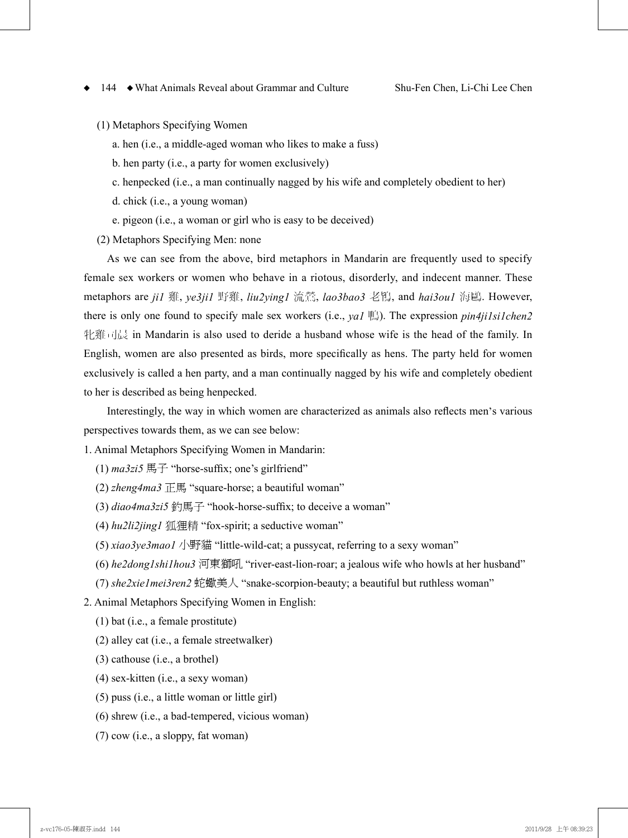(1) Metaphors Specifying Women

- a. hen (i.e., a middle-aged woman who likes to make a fuss)
- b. hen party (i.e., a party for women exclusively)
- c. henpecked (i.e., a man continually nagged by his wife and completely obedient to her)
- d. chick (i.e., a young woman)
- e. pigeon (i.e., a woman or girl who is easy to be deceived)
- (2) Metaphors Specifying Men: none

As we can see from the above, bird metaphors in Mandarin are frequently used to specify female sex workers or women who behave in a riotous, disorderly, and indecent manner. These metaphors are *ji1* 雞, *ye3ji1* 野雞, *liu2ying1* 流鶯, *lao3bao3* 老鴇, and *hai3ou1* 海鷗. However, there is only one found to specify male sex workers (i.e., *ya1* 鴨). The expression *pin4ji1si1chen2* 牝雞司晨 in Mandarin is also used to deride a husband whose wife is the head of the family. In English, women are also presented as birds, more specifically as hens. The party held for women exclusively is called a hen party, and a man continually nagged by his wife and completely obedient to her is described as being henpecked.

Interestingly, the way in which women are characterized as animals also reflects men's various perspectives towards them, as we can see below:

1. Animal Metaphors Specifying Women in Mandarin:

- $(1)$  *ma3zi5*  $\overline{H}$   $\overline{f}$  "horse-suffix; one's girlfriend"
- (2) *zheng4ma3*  $\overline{F}$   $\overline{F}$  "square-horse; a beautiful woman"
- (3) *diao4ma3zi5* 釣馬子 "hook-horse-suffix; to deceive a woman"
- (4) *hu2li2jing1* 狐狸精 "fox-spirit; a seductive woman"
- (5) *xiao3ye3mao1* 小野貓 "little-wild-cat; a pussycat, referring to a sexy woman"
- (6) *he2dong1shi1hou3* 河東獅吼 "river-east-lion-roar; a jealous wife who howls at her husband"
- (7) *she2xie1mei3ren2* 蛇蠍美人 "snake-scorpion-beauty; a beautiful but ruthless woman"
- 2. Animal Metaphors Specifying Women in English:
	- (1) bat (i.e., a female prostitute)
	- (2) alley cat (i.e., a female streetwalker)
	- (3) cathouse (i.e., a brothel)
	- (4) sex-kitten (i.e., a sexy woman)
	- (5) puss (i.e., a little woman or little girl)
	- (6) shrew (i.e., a bad-tempered, vicious woman)
	- (7) cow (i.e., a sloppy, fat woman)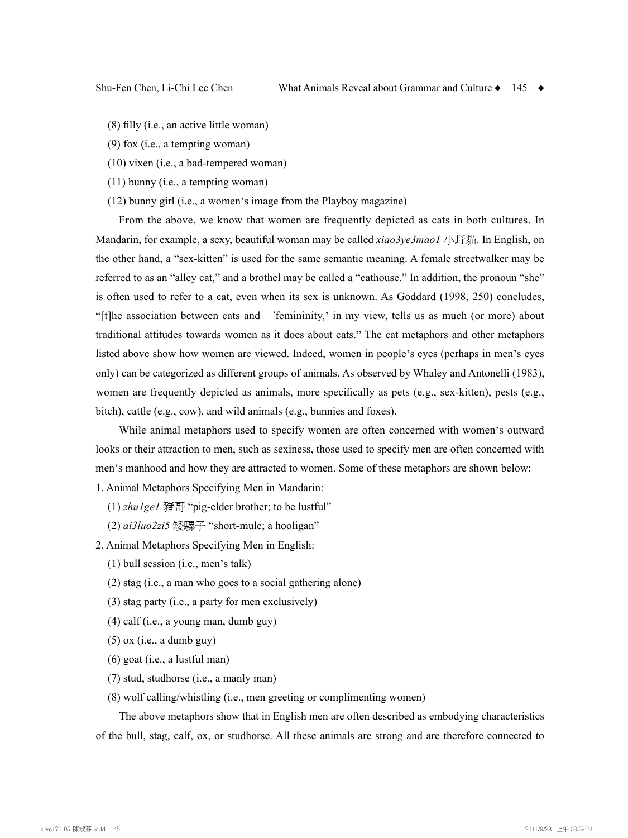- (8) filly (i.e., an active little woman)
- (9) fox (i.e., a tempting woman)
- (10) vixen (i.e., a bad-tempered woman)
- (11) bunny (i.e., a tempting woman)
- (12) bunny girl (i.e., a women's image from the Playboy magazine)

From the above, we know that women are frequently depicted as cats in both cultures. In Mandarin, for example, a sexy, beautiful woman may be called *xiao3ye3mao1* 小野貓. In English, on the other hand, a "sex-kitten" is used for the same semantic meaning. A female streetwalker may be referred to as an "alley cat," and a brothel may be called a "cathouse." In addition, the pronoun "she" is often used to refer to a cat, even when its sex is unknown. As Goddard (1998, 250) concludes, "[t]he association between cats and `femininity,' in my view, tells us as much (or more) about traditional attitudes towards women as it does about cats." The cat metaphors and other metaphors listed above show how women are viewed. Indeed, women in people's eyes (perhaps in men's eyes only) can be categorized as different groups of animals. As observed by Whaley and Antonelli (1983), women are frequently depicted as animals, more specifically as pets (e.g., sex-kitten), pests (e.g., bitch), cattle (e.g., cow), and wild animals (e.g., bunnies and foxes).

While animal metaphors used to specify women are often concerned with women's outward looks or their attraction to men, such as sexiness, those used to specify men are often concerned with men's manhood and how they are attracted to women. Some of these metaphors are shown below:

1. Animal Metaphors Specifying Men in Mandarin:

- (1) *zhu1ge1* 豬哥 "pig-elder brother; to be lustful"
- (2) *ai3luo2zi5* 矮騾子 "short-mule; a hooligan"
- 2. Animal Metaphors Specifying Men in English:
	- (1) bull session (i.e., men's talk)
	- (2) stag (i.e., a man who goes to a social gathering alone)
	- (3) stag party (i.e., a party for men exclusively)
	- (4) calf (i.e., a young man, dumb guy)
	- (5) ox (i.e., a dumb guy)
	- (6) goat (i.e., a lustful man)
	- (7) stud, studhorse (i.e., a manly man)
	- (8) wolf calling/whistling (i.e., men greeting or complimenting women)

The above metaphors show that in English men are often described as embodying characteristics of the bull, stag, calf, ox, or studhorse. All these animals are strong and are therefore connected to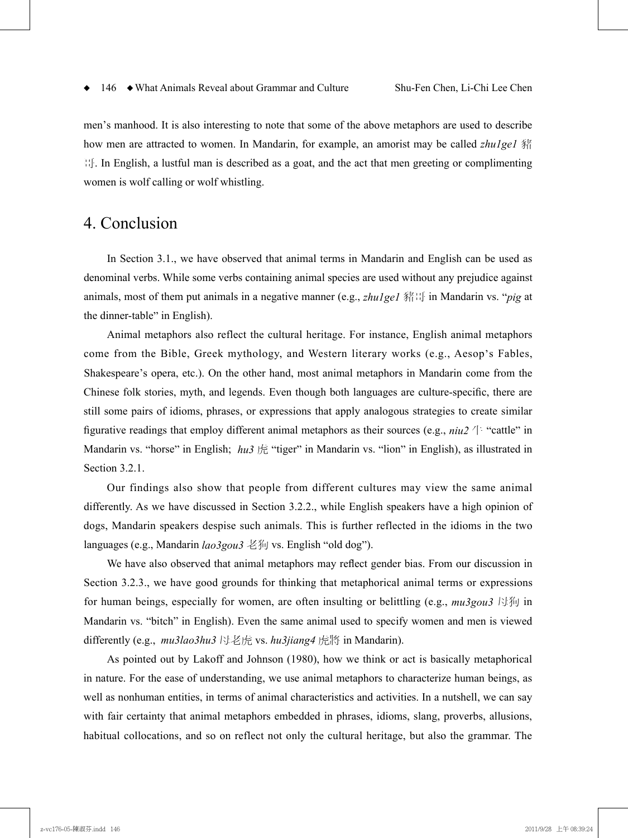men's manhood. It is also interesting to note that some of the above metaphors are used to describe how men are attracted to women. In Mandarin, for example, an amorist may be called *zhu1ge1* 豬 哥. In English, a lustful man is described as a goat, and the act that men greeting or complimenting women is wolf calling or wolf whistling.

# 4. Conclusion

In Section 3.1., we have observed that animal terms in Mandarin and English can be used as denominal verbs. While some verbs containing animal species are used without any prejudice against animals, most of them put animals in a negative manner (e.g., *zhu1ge1* 豬哥 in Mandarin vs. "*pig* at the dinner-table" in English).

Animal metaphors also reflect the cultural heritage. For instance, English animal metaphors come from the Bible, Greek mythology, and Western literary works (e.g., Aesop's Fables, Shakespeare's opera, etc.). On the other hand, most animal metaphors in Mandarin come from the Chinese folk stories, myth, and legends. Even though both languages are culture-specific, there are still some pairs of idioms, phrases, or expressions that apply analogous strategies to create similar figurative readings that employ different animal metaphors as their sources (e.g.,  $niu2 \nightharpoonup$  "cattle" in Mandarin vs. "horse" in English; *hu3* 虎 "tiger" in Mandarin vs. "lion" in English), as illustrated in Section 3.2.1.

Our findings also show that people from different cultures may view the same animal differently. As we have discussed in Section 3.2.2., while English speakers have a high opinion of dogs, Mandarin speakers despise such animals. This is further reflected in the idioms in the two languages (e.g., Mandarin *lao3gou3* 老狗 vs. English "old dog").

We have also observed that animal metaphors may reflect gender bias. From our discussion in Section 3.2.3., we have good grounds for thinking that metaphorical animal terms or expressions for human beings, especially for women, are often insulting or belittling (e.g., *mu3gou3* 母狗 in Mandarin vs. "bitch" in English). Even the same animal used to specify women and men is viewed differently (e.g., *mu3lao3hu3* 母老虎 vs. *hu3jiang4* 虎將 in Mandarin).

As pointed out by Lakoff and Johnson (1980), how we think or act is basically metaphorical in nature. For the ease of understanding, we use animal metaphors to characterize human beings, as well as nonhuman entities, in terms of animal characteristics and activities. In a nutshell, we can say with fair certainty that animal metaphors embedded in phrases, idioms, slang, proverbs, allusions, habitual collocations, and so on reflect not only the cultural heritage, but also the grammar. The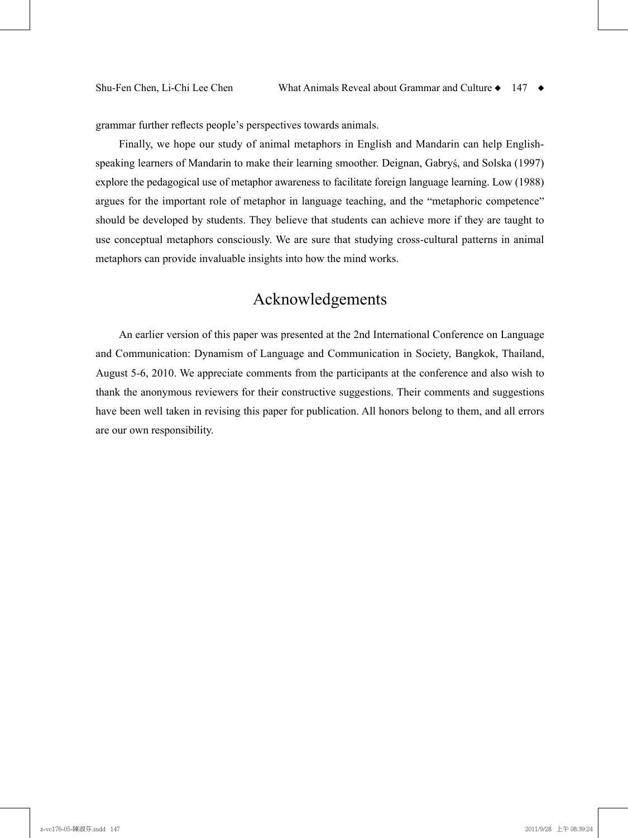grammar further reflects people's perspectives towards animals.

Finally, we hope our study of animal metaphors in English and Mandarin can help Englishspeaking learners of Mandarin to make their learning smoother. Deignan, Gabryś, and Solska (1997) explore the pedagogical use of metaphor awareness to facilitate foreign language learning. Low (1988) argues for the important role of metaphor in language teaching, and the "metaphoric competence" should be developed by students. They believe that students can achieve more if they are taught to use conceptual metaphors consciously. We are sure that studying cross-cultural patterns in animal metaphors can provide invaluable insights into how the mind works.

# Acknowledgements

An earlier version of this paper was presented at the 2nd International Conference on Language and Communication: Dynamism of Language and Communication in Society, Bangkok, Thailand, August 5-6, 2010. We appreciate comments from the participants at the conference and also wish to thank the anonymous reviewers for their constructive suggestions. Their comments and suggestions have been well taken in revising this paper for publication. All honors belong to them, and all errors are our own responsibility.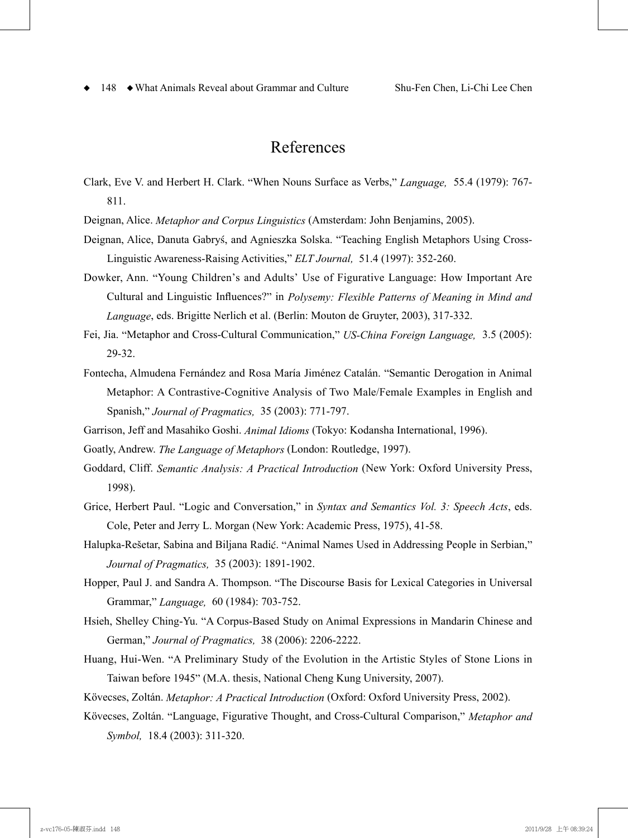## References

- Clark, Eve V. and Herbert H. Clark. "When Nouns Surface as Verbs," *Language,* 55.4 (1979): 767- 811.
- Deignan, Alice. *Metaphor and Corpus Linguistics* (Amsterdam: John Benjamins, 2005).
- Deignan, Alice, Danuta Gabryś, and Agnieszka Solska. "Teaching English Metaphors Using Cross-Linguistic Awareness-Raising Activities," *ELT Journal,* 51.4 (1997): 352-260.
- Dowker, Ann. "Young Children's and Adults' Use of Figurative Language: How Important Are Cultural and Linguistic Influences?" in *Polysemy: Flexible Patterns of Meaning in Mind and Language*, eds. Brigitte Nerlich et al. (Berlin: Mouton de Gruyter, 2003), 317-332.
- Fei, Jia. "Metaphor and Cross-Cultural Communication," *US-China Foreign Language,* 3.5 (2005): 29-32.
- Fontecha, Almudena Fernández and Rosa María Jiménez Catalán. "Semantic Derogation in Animal Metaphor: A Contrastive-Cognitive Analysis of Two Male/Female Examples in English and Spanish," *Journal of Pragmatics,* 35 (2003): 771-797.
- Garrison, Jeff and Masahiko Goshi. *Animal Idioms* (Tokyo: Kodansha International, 1996).
- Goatly, Andrew. *The Language of Metaphors* (London: Routledge, 1997).
- Goddard, Cliff. *Semantic Analysis: A Practical Introduction* (New York: Oxford University Press, 1998).
- Grice, Herbert Paul. "Logic and Conversation," in *Syntax and Semantics Vol. 3: Speech Acts*, eds. Cole, Peter and Jerry L. Morgan (New York: Academic Press, 1975), 41-58.
- Halupka-Rešetar, Sabina and Biljana Radić. "Animal Names Used in Addressing People in Serbian," *Journal of Pragmatics,* 35 (2003): 1891-1902.
- Hopper, Paul J. and Sandra A. Thompson. "The Discourse Basis for Lexical Categories in Universal Grammar," *Language,* 60 (1984): 703-752.
- Hsieh, Shelley Ching-Yu. "A Corpus-Based Study on Animal Expressions in Mandarin Chinese and German," *Journal of Pragmatics,* 38 (2006): 2206-2222.
- Huang, Hui-Wen. "A Preliminary Study of the Evolution in the Artistic Styles of Stone Lions in Taiwan before 1945" (M.A. thesis, National Cheng Kung University, 2007).

Kövecses, Zoltán. *Metaphor: A Practical Introduction* (Oxford: Oxford University Press, 2002).

Kövecses, Zoltán. "Language, Figurative Thought, and Cross-Cultural Comparison," *Metaphor and Symbol,* 18.4 (2003): 311-320.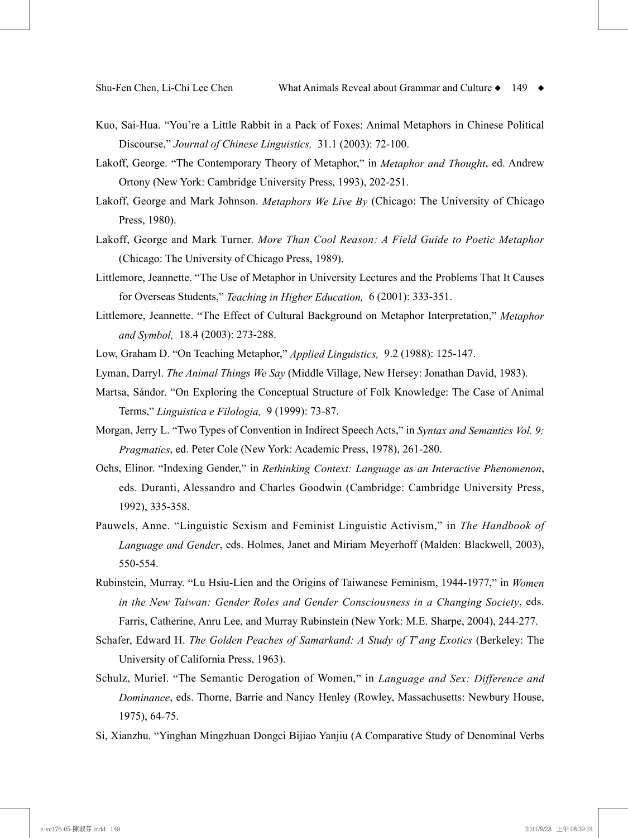- Kuo, Sai-Hua. "You're a Little Rabbit in a Pack of Foxes: Animal Metaphors in Chinese Political Discourse," *Journal of Chinese Linguistics,* 31.1 (2003): 72-100.
- Lakoff, George. "The Contemporary Theory of Metaphor," in *Metaphor and Thought*, ed. Andrew Ortony (New York: Cambridge University Press, 1993), 202-251.
- Lakoff, George and Mark Johnson. *Metaphors We Live By* (Chicago: The University of Chicago Press, 1980).
- Lakoff, George and Mark Turner. *More Than Cool Reason: A Field Guide to Poetic Metaphor*  (Chicago: The University of Chicago Press, 1989).
- Littlemore, Jeannette. "The Use of Metaphor in University Lectures and the Problems That It Causes for Overseas Students," *Teaching in Higher Education,* 6 (2001): 333-351.
- Littlemore, Jeannette. "The Effect of Cultural Background on Metaphor Interpretation," *Metaphor and Symbol,* 18.4 (2003): 273-288.
- Low, Graham D. "On Teaching Metaphor," *Applied Linguistics,* 9.2 (1988): 125-147.
- Lyman, Darryl. *The Animal Things We Say* (Middle Village, New Hersey: Jonathan David, 1983).
- Martsa, Sándor. "On Exploring the Conceptual Structure of Folk Knowledge: The Case of Animal Terms," *Linguistica e Filologia,* 9 (1999): 73-87.
- Morgan, Jerry L. "Two Types of Convention in Indirect Speech Acts," in *Syntax and Semantics Vol. 9: Pragmatics*, ed. Peter Cole (New York: Academic Press, 1978), 261-280.
- Ochs, Elinor. "Indexing Gender," in *Rethinking Context: Language as an Interactive Phenomenon*, eds. Duranti, Alessandro and Charles Goodwin (Cambridge: Cambridge University Press, 1992), 335-358.
- Pauwels, Anne. "Linguistic Sexism and Feminist Linguistic Activism," in *The Handbook of Language and Gender*, eds. Holmes, Janet and Miriam Meyerhoff (Malden: Blackwell, 2003), 550-554.
- Rubinstein, Murray. "Lu Hsiu-Lien and the Origins of Taiwanese Feminism, 1944-1977," in *Women in the New Taiwan: Gender Roles and Gender Consciousness in a Changing Society*, eds. Farris, Catherine, Anru Lee, and Murray Rubinstein (New York: M.E. Sharpe, 2004), 244-277.
- Schafer, Edward H. *The Golden Peaches of Samarkand: A Study of T*'*ang Exotics* (Berkeley: The University of California Press, 1963).
- Schulz, Muriel. "The Semantic Derogation of Women," in *Language and Sex: Difference and Dominance*, eds. Thorne, Barrie and Nancy Henley (Rowley, Massachusetts: Newbury House, 1975), 64-75.
- Si, Xianzhu. "Yinghan Mingzhuan Dongci Bijiao Yanjiu (A Comparative Study of Denominal Verbs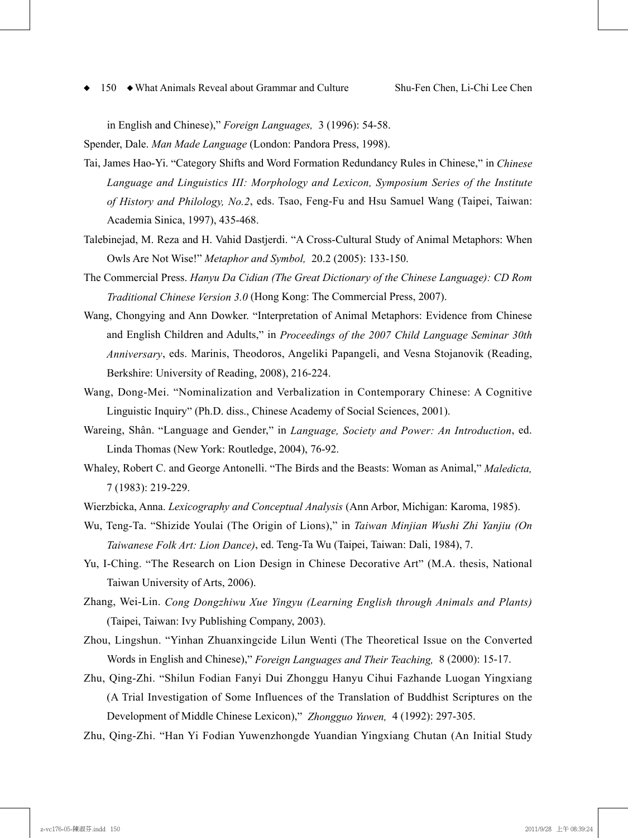in English and Chinese)," *Foreign Languages,* 3 (1996): 54-58.

Spender, Dale. *Man Made Language* (London: Pandora Press, 1998).

- Tai, James Hao-Yi. "Category Shifts and Word Formation Redundancy Rules in Chinese," in *Chinese Language and Linguistics III: Morphology and Lexicon, Symposium Series of the Institute of History and Philology, No.2*, eds. Tsao, Feng-Fu and Hsu Samuel Wang (Taipei, Taiwan: Academia Sinica, 1997), 435-468.
- Talebinejad, M. Reza and H. Vahid Dastjerdi. "A Cross-Cultural Study of Animal Metaphors: When Owls Are Not Wise!" *Metaphor and Symbol,* 20.2 (2005): 133-150.
- The Commercial Press. *Hanyu Da Cidian (The Great Dictionary of the Chinese Language): CD Rom Traditional Chinese Version 3.0* (Hong Kong: The Commercial Press, 2007).
- Wang, Chongying and Ann Dowker. "Interpretation of Animal Metaphors: Evidence from Chinese and English Children and Adults," in *Proceedings of the 2007 Child Language Seminar 30th Anniversary*, eds. Marinis, Theodoros, Angeliki Papangeli, and Vesna Stojanovik (Reading, Berkshire: University of Reading, 2008), 216-224.
- Wang, Dong-Mei. "Nominalization and Verbalization in Contemporary Chinese: A Cognitive Linguistic Inquiry" (Ph.D. diss., Chinese Academy of Social Sciences, 2001).
- Wareing, Shân. "Language and Gender," in *Language, Society and Power: An Introduction*, ed. Linda Thomas (New York: Routledge, 2004), 76-92.
- Whaley, Robert C. and George Antonelli. "The Birds and the Beasts: Woman as Animal," *Maledicta,*  7 (1983): 219-229.
- Wierzbicka, Anna. *Lexicography and Conceptual Analysis* (Ann Arbor, Michigan: Karoma, 1985).
- Wu, Teng-Ta. "Shizide Youlai (The Origin of Lions)," in *Taiwan Minjian Wushi Zhi Yanjiu (On Taiwanese Folk Art: Lion Dance)*, ed. Teng-Ta Wu (Taipei, Taiwan: Dali, 1984), 7.
- Yu, I-Ching. "The Research on Lion Design in Chinese Decorative Art" (M.A. thesis, National Taiwan University of Arts, 2006).
- Zhang, Wei-Lin. *Cong Dongzhiwu Xue Yingyu (Learning English through Animals and Plants)*  (Taipei, Taiwan: Ivy Publishing Company, 2003).
- Zhou, Lingshun. "Yinhan Zhuanxingcide Lilun Wenti (The Theoretical Issue on the Converted Words in English and Chinese)," *Foreign Languages and Their Teaching,* 8 (2000): 15-17.
- Zhu, Qing-Zhi. "Shilun Fodian Fanyi Dui Zhonggu Hanyu Cihui Fazhande Luogan Yingxiang (A Trial Investigation of Some Influences of the Translation of Buddhist Scriptures on the Development of Middle Chinese Lexicon)," *Zhongguo Yuwen,* 4 (1992): 297-305.

Zhu, Qing-Zhi. "Han Yi Fodian Yuwenzhongde Yuandian Yingxiang Chutan (An Initial Study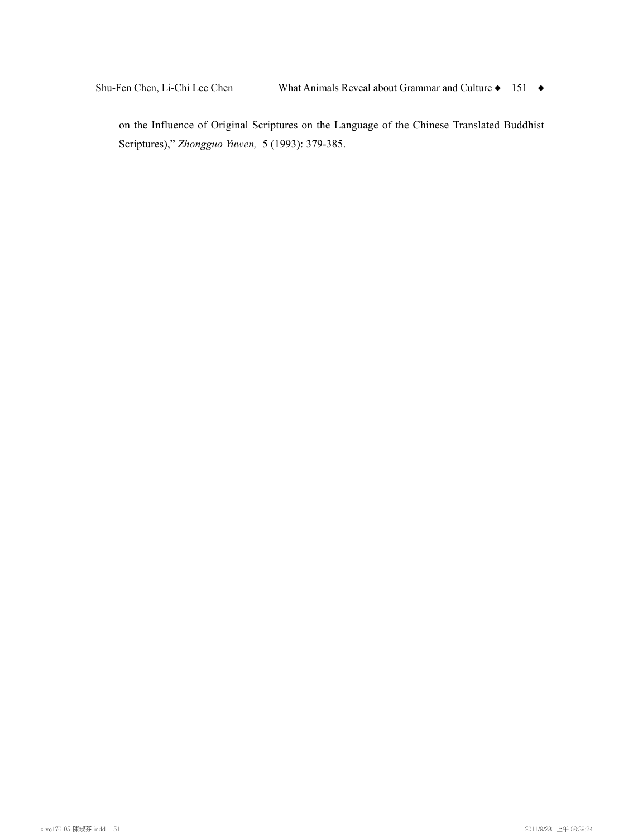on the Influence of Original Scriptures on the Language of the Chinese Translated Buddhist Scriptures)," *Zhongguo Yuwen,* 5 (1993): 379-385.